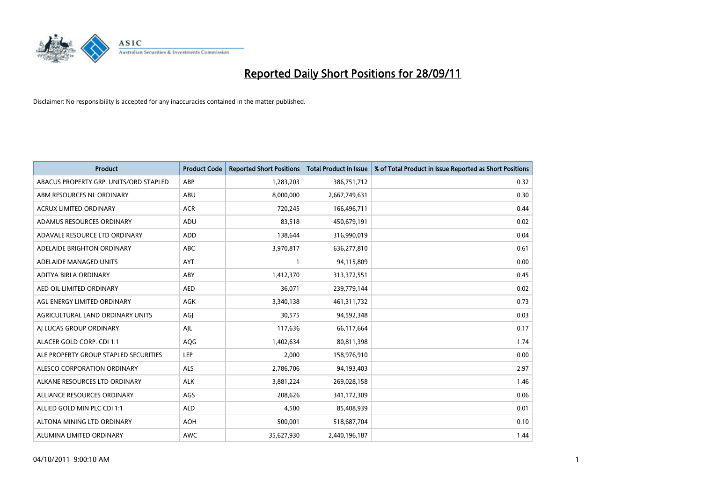

| <b>Product</b>                         | <b>Product Code</b> | <b>Reported Short Positions</b> | Total Product in Issue | % of Total Product in Issue Reported as Short Positions |
|----------------------------------------|---------------------|---------------------------------|------------------------|---------------------------------------------------------|
| ABACUS PROPERTY GRP. UNITS/ORD STAPLED | ABP                 | 1,283,203                       | 386,751,712            | 0.32                                                    |
| ABM RESOURCES NL ORDINARY              | ABU                 | 8,000,000                       | 2,667,749,631          | 0.30                                                    |
| <b>ACRUX LIMITED ORDINARY</b>          | <b>ACR</b>          | 720,245                         | 166,496,711            | 0.44                                                    |
| ADAMUS RESOURCES ORDINARY              | ADU                 | 83,518                          | 450,679,191            | 0.02                                                    |
| ADAVALE RESOURCE LTD ORDINARY          | ADD                 | 138,644                         | 316,990,019            | 0.04                                                    |
| ADELAIDE BRIGHTON ORDINARY             | <b>ABC</b>          | 3,970,817                       | 636,277,810            | 0.61                                                    |
| ADELAIDE MANAGED UNITS                 | <b>AYT</b>          |                                 | 94,115,809             | 0.00                                                    |
| ADITYA BIRLA ORDINARY                  | ABY                 | 1,412,370                       | 313,372,551            | 0.45                                                    |
| AED OIL LIMITED ORDINARY               | <b>AED</b>          | 36,071                          | 239,779,144            | 0.02                                                    |
| AGL ENERGY LIMITED ORDINARY            | <b>AGK</b>          | 3,340,138                       | 461,311,732            | 0.73                                                    |
| AGRICULTURAL LAND ORDINARY UNITS       | AGJ                 | 30,575                          | 94,592,348             | 0.03                                                    |
| AI LUCAS GROUP ORDINARY                | AJL                 | 117,636                         | 66,117,664             | 0.17                                                    |
| ALACER GOLD CORP. CDI 1:1              | AQG                 | 1,402,634                       | 80,811,398             | 1.74                                                    |
| ALE PROPERTY GROUP STAPLED SECURITIES  | LEP                 | 2,000                           | 158,976,910            | 0.00                                                    |
| ALESCO CORPORATION ORDINARY            | <b>ALS</b>          | 2,786,706                       | 94,193,403             | 2.97                                                    |
| ALKANE RESOURCES LTD ORDINARY          | <b>ALK</b>          | 3,881,224                       | 269,028,158            | 1.46                                                    |
| ALLIANCE RESOURCES ORDINARY            | AGS                 | 208,626                         | 341,172,309            | 0.06                                                    |
| ALLIED GOLD MIN PLC CDI 1:1            | <b>ALD</b>          | 4,500                           | 85,408,939             | 0.01                                                    |
| ALTONA MINING LTD ORDINARY             | <b>AOH</b>          | 500,001                         | 518,687,704            | 0.10                                                    |
| ALUMINA LIMITED ORDINARY               | <b>AWC</b>          | 35,627,930                      | 2,440,196,187          | 1.44                                                    |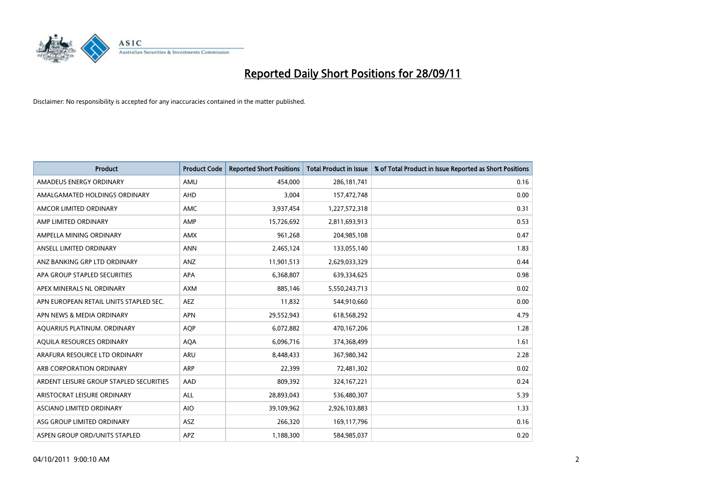

| <b>Product</b>                          | <b>Product Code</b> | <b>Reported Short Positions</b> | <b>Total Product in Issue</b> | % of Total Product in Issue Reported as Short Positions |
|-----------------------------------------|---------------------|---------------------------------|-------------------------------|---------------------------------------------------------|
| AMADEUS ENERGY ORDINARY                 | AMU                 | 454.000                         | 286, 181, 741                 | 0.16                                                    |
| AMALGAMATED HOLDINGS ORDINARY           | AHD                 | 3,004                           | 157,472,748                   | 0.00                                                    |
| AMCOR LIMITED ORDINARY                  | <b>AMC</b>          | 3,937,454                       | 1,227,572,318                 | 0.31                                                    |
| AMP LIMITED ORDINARY                    | AMP                 | 15,726,692                      | 2,811,693,913                 | 0.53                                                    |
| AMPELLA MINING ORDINARY                 | <b>AMX</b>          | 961,268                         | 204,985,108                   | 0.47                                                    |
| ANSELL LIMITED ORDINARY                 | <b>ANN</b>          | 2,465,124                       | 133,055,140                   | 1.83                                                    |
| ANZ BANKING GRP LTD ORDINARY            | ANZ                 | 11,901,513                      | 2,629,033,329                 | 0.44                                                    |
| APA GROUP STAPLED SECURITIES            | <b>APA</b>          | 6,368,807                       | 639,334,625                   | 0.98                                                    |
| APEX MINERALS NL ORDINARY               | <b>AXM</b>          | 885,146                         | 5,550,243,713                 | 0.02                                                    |
| APN EUROPEAN RETAIL UNITS STAPLED SEC.  | <b>AEZ</b>          | 11,832                          | 544,910,660                   | 0.00                                                    |
| APN NEWS & MEDIA ORDINARY               | <b>APN</b>          | 29,552,943                      | 618,568,292                   | 4.79                                                    |
| AQUARIUS PLATINUM. ORDINARY             | <b>AOP</b>          | 6,072,882                       | 470,167,206                   | 1.28                                                    |
| AQUILA RESOURCES ORDINARY               | <b>AQA</b>          | 6,096,716                       | 374,368,499                   | 1.61                                                    |
| ARAFURA RESOURCE LTD ORDINARY           | ARU                 | 8,448,433                       | 367,980,342                   | 2.28                                                    |
| ARB CORPORATION ORDINARY                | ARP                 | 22,399                          | 72,481,302                    | 0.02                                                    |
| ARDENT LEISURE GROUP STAPLED SECURITIES | AAD                 | 809,392                         | 324, 167, 221                 | 0.24                                                    |
| ARISTOCRAT LEISURE ORDINARY             | <b>ALL</b>          | 28,893,043                      | 536,480,307                   | 5.39                                                    |
| <b>ASCIANO LIMITED ORDINARY</b>         | <b>AIO</b>          | 39,109,962                      | 2,926,103,883                 | 1.33                                                    |
| ASG GROUP LIMITED ORDINARY              | <b>ASZ</b>          | 266,320                         | 169,117,796                   | 0.16                                                    |
| ASPEN GROUP ORD/UNITS STAPLED           | <b>APZ</b>          | 1,188,300                       | 584,985,037                   | 0.20                                                    |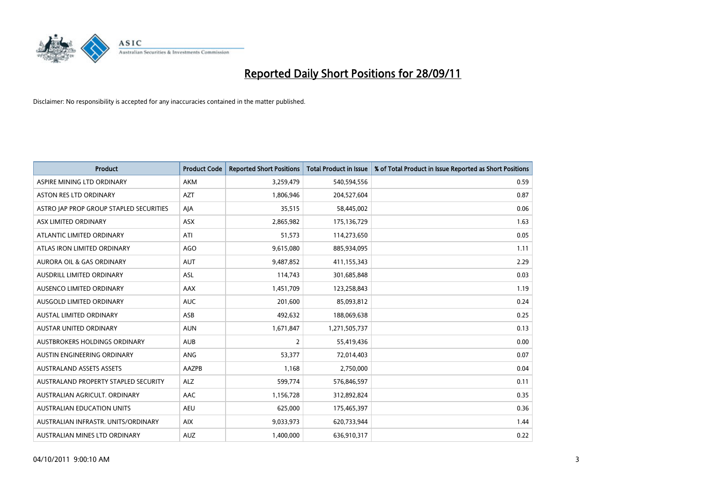

| <b>Product</b>                          | <b>Product Code</b> | <b>Reported Short Positions</b> | <b>Total Product in Issue</b> | % of Total Product in Issue Reported as Short Positions |
|-----------------------------------------|---------------------|---------------------------------|-------------------------------|---------------------------------------------------------|
| ASPIRE MINING LTD ORDINARY              | <b>AKM</b>          | 3,259,479                       | 540,594,556                   | 0.59                                                    |
| ASTON RES LTD ORDINARY                  | <b>AZT</b>          | 1,806,946                       | 204,527,604                   | 0.87                                                    |
| ASTRO JAP PROP GROUP STAPLED SECURITIES | AJA                 | 35,515                          | 58,445,002                    | 0.06                                                    |
| ASX LIMITED ORDINARY                    | ASX                 | 2,865,982                       | 175,136,729                   | 1.63                                                    |
| ATLANTIC LIMITED ORDINARY               | ATI                 | 51,573                          | 114,273,650                   | 0.05                                                    |
| ATLAS IRON LIMITED ORDINARY             | <b>AGO</b>          | 9,615,080                       | 885,934,095                   | 1.11                                                    |
| AURORA OIL & GAS ORDINARY               | <b>AUT</b>          | 9,487,852                       | 411,155,343                   | 2.29                                                    |
| AUSDRILL LIMITED ORDINARY               | <b>ASL</b>          | 114,743                         | 301,685,848                   | 0.03                                                    |
| AUSENCO LIMITED ORDINARY                | AAX                 | 1,451,709                       | 123,258,843                   | 1.19                                                    |
| AUSGOLD LIMITED ORDINARY                | <b>AUC</b>          | 201,600                         | 85,093,812                    | 0.24                                                    |
| AUSTAL LIMITED ORDINARY                 | ASB                 | 492,632                         | 188,069,638                   | 0.25                                                    |
| <b>AUSTAR UNITED ORDINARY</b>           | <b>AUN</b>          | 1,671,847                       | 1,271,505,737                 | 0.13                                                    |
| AUSTBROKERS HOLDINGS ORDINARY           | <b>AUB</b>          | $\overline{2}$                  | 55,419,436                    | 0.00                                                    |
| AUSTIN ENGINEERING ORDINARY             | ANG                 | 53,377                          | 72,014,403                    | 0.07                                                    |
| <b>AUSTRALAND ASSETS ASSETS</b>         | AAZPB               | 1,168                           | 2,750,000                     | 0.04                                                    |
| AUSTRALAND PROPERTY STAPLED SECURITY    | <b>ALZ</b>          | 599,774                         | 576,846,597                   | 0.11                                                    |
| AUSTRALIAN AGRICULT. ORDINARY           | AAC                 | 1,156,728                       | 312,892,824                   | 0.35                                                    |
| AUSTRALIAN EDUCATION UNITS              | <b>AEU</b>          | 625,000                         | 175,465,397                   | 0.36                                                    |
| AUSTRALIAN INFRASTR, UNITS/ORDINARY     | <b>AIX</b>          | 9,033,973                       | 620,733,944                   | 1.44                                                    |
| AUSTRALIAN MINES LTD ORDINARY           | <b>AUZ</b>          | 1,400,000                       | 636,910,317                   | 0.22                                                    |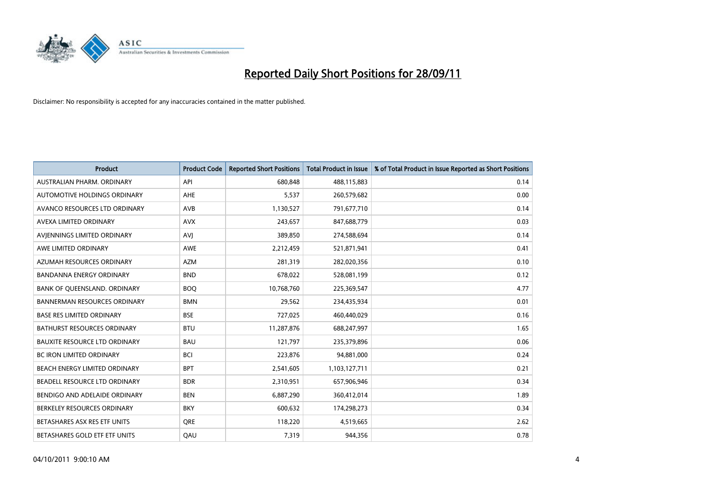

| <b>Product</b>                       | <b>Product Code</b> | <b>Reported Short Positions</b> | <b>Total Product in Issue</b> | % of Total Product in Issue Reported as Short Positions |
|--------------------------------------|---------------------|---------------------------------|-------------------------------|---------------------------------------------------------|
| AUSTRALIAN PHARM, ORDINARY           | API                 | 680.848                         | 488,115,883                   | 0.14                                                    |
| AUTOMOTIVE HOLDINGS ORDINARY         | <b>AHE</b>          | 5,537                           | 260,579,682                   | 0.00                                                    |
| AVANCO RESOURCES LTD ORDINARY        | AVB                 | 1,130,527                       | 791,677,710                   | 0.14                                                    |
| AVEXA LIMITED ORDINARY               | <b>AVX</b>          | 243,657                         | 847,688,779                   | 0.03                                                    |
| AVIENNINGS LIMITED ORDINARY          | AVI                 | 389,850                         | 274,588,694                   | 0.14                                                    |
| AWE LIMITED ORDINARY                 | <b>AWE</b>          | 2,212,459                       | 521,871,941                   | 0.41                                                    |
| AZUMAH RESOURCES ORDINARY            | <b>AZM</b>          | 281,319                         | 282,020,356                   | 0.10                                                    |
| <b>BANDANNA ENERGY ORDINARY</b>      | <b>BND</b>          | 678,022                         | 528,081,199                   | 0.12                                                    |
| BANK OF QUEENSLAND. ORDINARY         | <b>BOQ</b>          | 10,768,760                      | 225,369,547                   | 4.77                                                    |
| <b>BANNERMAN RESOURCES ORDINARY</b>  | <b>BMN</b>          | 29,562                          | 234,435,934                   | 0.01                                                    |
| <b>BASE RES LIMITED ORDINARY</b>     | <b>BSE</b>          | 727,025                         | 460,440,029                   | 0.16                                                    |
| <b>BATHURST RESOURCES ORDINARY</b>   | <b>BTU</b>          | 11,287,876                      | 688,247,997                   | 1.65                                                    |
| <b>BAUXITE RESOURCE LTD ORDINARY</b> | <b>BAU</b>          | 121,797                         | 235,379,896                   | 0.06                                                    |
| <b>BC IRON LIMITED ORDINARY</b>      | <b>BCI</b>          | 223,876                         | 94,881,000                    | 0.24                                                    |
| BEACH ENERGY LIMITED ORDINARY        | <b>BPT</b>          | 2,541,605                       | 1,103,127,711                 | 0.21                                                    |
| BEADELL RESOURCE LTD ORDINARY        | <b>BDR</b>          | 2,310,951                       | 657,906,946                   | 0.34                                                    |
| BENDIGO AND ADELAIDE ORDINARY        | <b>BEN</b>          | 6,887,290                       | 360,412,014                   | 1.89                                                    |
| BERKELEY RESOURCES ORDINARY          | <b>BKY</b>          | 600,632                         | 174,298,273                   | 0.34                                                    |
| BETASHARES ASX RES ETF UNITS         | <b>ORE</b>          | 118,220                         | 4,519,665                     | 2.62                                                    |
| BETASHARES GOLD ETF ETF UNITS        | QAU                 | 7,319                           | 944,356                       | 0.78                                                    |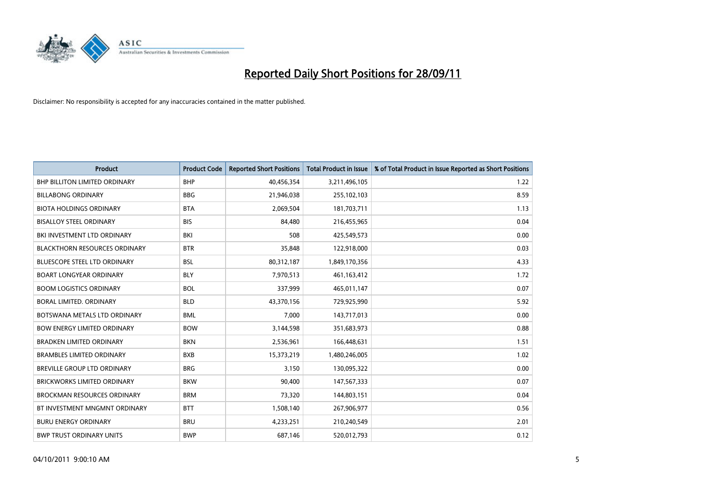

| <b>Product</b>                       | <b>Product Code</b> | <b>Reported Short Positions</b> | <b>Total Product in Issue</b> | % of Total Product in Issue Reported as Short Positions |
|--------------------------------------|---------------------|---------------------------------|-------------------------------|---------------------------------------------------------|
| <b>BHP BILLITON LIMITED ORDINARY</b> | <b>BHP</b>          | 40,456,354                      | 3,211,496,105                 | 1.22                                                    |
| <b>BILLABONG ORDINARY</b>            | <b>BBG</b>          | 21,946,038                      | 255,102,103                   | 8.59                                                    |
| <b>BIOTA HOLDINGS ORDINARY</b>       | <b>BTA</b>          | 2,069,504                       | 181,703,711                   | 1.13                                                    |
| <b>BISALLOY STEEL ORDINARY</b>       | <b>BIS</b>          | 84,480                          | 216,455,965                   | 0.04                                                    |
| BKI INVESTMENT LTD ORDINARY          | BKI                 | 508                             | 425,549,573                   | 0.00                                                    |
| <b>BLACKTHORN RESOURCES ORDINARY</b> | <b>BTR</b>          | 35,848                          | 122,918,000                   | 0.03                                                    |
| <b>BLUESCOPE STEEL LTD ORDINARY</b>  | <b>BSL</b>          | 80,312,187                      | 1,849,170,356                 | 4.33                                                    |
| <b>BOART LONGYEAR ORDINARY</b>       | <b>BLY</b>          | 7,970,513                       | 461,163,412                   | 1.72                                                    |
| <b>BOOM LOGISTICS ORDINARY</b>       | <b>BOL</b>          | 337,999                         | 465,011,147                   | 0.07                                                    |
| <b>BORAL LIMITED, ORDINARY</b>       | <b>BLD</b>          | 43,370,156                      | 729,925,990                   | 5.92                                                    |
| BOTSWANA METALS LTD ORDINARY         | <b>BML</b>          | 7,000                           | 143,717,013                   | 0.00                                                    |
| <b>BOW ENERGY LIMITED ORDINARY</b>   | <b>BOW</b>          | 3,144,598                       | 351,683,973                   | 0.88                                                    |
| BRADKEN LIMITED ORDINARY             | <b>BKN</b>          | 2,536,961                       | 166,448,631                   | 1.51                                                    |
| <b>BRAMBLES LIMITED ORDINARY</b>     | <b>BXB</b>          | 15,373,219                      | 1,480,246,005                 | 1.02                                                    |
| BREVILLE GROUP LTD ORDINARY          | <b>BRG</b>          | 3,150                           | 130,095,322                   | 0.00                                                    |
| BRICKWORKS LIMITED ORDINARY          | <b>BKW</b>          | 90,400                          | 147,567,333                   | 0.07                                                    |
| <b>BROCKMAN RESOURCES ORDINARY</b>   | <b>BRM</b>          | 73,320                          | 144,803,151                   | 0.04                                                    |
| BT INVESTMENT MNGMNT ORDINARY        | <b>BTT</b>          | 1,508,140                       | 267,906,977                   | 0.56                                                    |
| <b>BURU ENERGY ORDINARY</b>          | <b>BRU</b>          | 4,233,251                       | 210,240,549                   | 2.01                                                    |
| <b>BWP TRUST ORDINARY UNITS</b>      | <b>BWP</b>          | 687.146                         | 520,012,793                   | 0.12                                                    |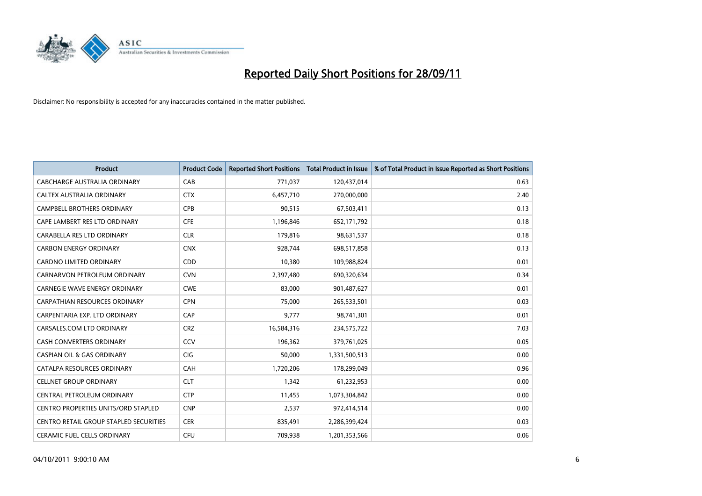

| <b>Product</b>                             | <b>Product Code</b> | <b>Reported Short Positions</b> | <b>Total Product in Issue</b> | % of Total Product in Issue Reported as Short Positions |
|--------------------------------------------|---------------------|---------------------------------|-------------------------------|---------------------------------------------------------|
| CABCHARGE AUSTRALIA ORDINARY               | CAB                 | 771,037                         | 120,437,014                   | 0.63                                                    |
| CALTEX AUSTRALIA ORDINARY                  | <b>CTX</b>          | 6,457,710                       | 270,000,000                   | 2.40                                                    |
| <b>CAMPBELL BROTHERS ORDINARY</b>          | CPB                 | 90,515                          | 67,503,411                    | 0.13                                                    |
| CAPE LAMBERT RES LTD ORDINARY              | <b>CFE</b>          | 1,196,846                       | 652,171,792                   | 0.18                                                    |
| CARABELLA RES LTD ORDINARY                 | <b>CLR</b>          | 179,816                         | 98,631,537                    | 0.18                                                    |
| <b>CARBON ENERGY ORDINARY</b>              | <b>CNX</b>          | 928,744                         | 698,517,858                   | 0.13                                                    |
| <b>CARDNO LIMITED ORDINARY</b>             | CDD                 | 10,380                          | 109,988,824                   | 0.01                                                    |
| CARNARVON PETROLEUM ORDINARY               | <b>CVN</b>          | 2,397,480                       | 690,320,634                   | 0.34                                                    |
| CARNEGIE WAVE ENERGY ORDINARY              | <b>CWE</b>          | 83,000                          | 901,487,627                   | 0.01                                                    |
| <b>CARPATHIAN RESOURCES ORDINARY</b>       | <b>CPN</b>          | 75,000                          | 265,533,501                   | 0.03                                                    |
| CARPENTARIA EXP. LTD ORDINARY              | CAP                 | 9,777                           | 98,741,301                    | 0.01                                                    |
| CARSALES.COM LTD ORDINARY                  | <b>CRZ</b>          | 16,584,316                      | 234,575,722                   | 7.03                                                    |
| CASH CONVERTERS ORDINARY                   | CCV                 | 196,362                         | 379,761,025                   | 0.05                                                    |
| <b>CASPIAN OIL &amp; GAS ORDINARY</b>      | <b>CIG</b>          | 50,000                          | 1,331,500,513                 | 0.00                                                    |
| CATALPA RESOURCES ORDINARY                 | CAH                 | 1,720,206                       | 178,299,049                   | 0.96                                                    |
| <b>CELLNET GROUP ORDINARY</b>              | <b>CLT</b>          | 1,342                           | 61,232,953                    | 0.00                                                    |
| CENTRAL PETROLEUM ORDINARY                 | <b>CTP</b>          | 11,455                          | 1,073,304,842                 | 0.00                                                    |
| <b>CENTRO PROPERTIES UNITS/ORD STAPLED</b> | <b>CNP</b>          | 2,537                           | 972,414,514                   | 0.00                                                    |
| CENTRO RETAIL GROUP STAPLED SECURITIES     | <b>CER</b>          | 835,491                         | 2,286,399,424                 | 0.03                                                    |
| <b>CERAMIC FUEL CELLS ORDINARY</b>         | CFU                 | 709.938                         | 1,201,353,566                 | 0.06                                                    |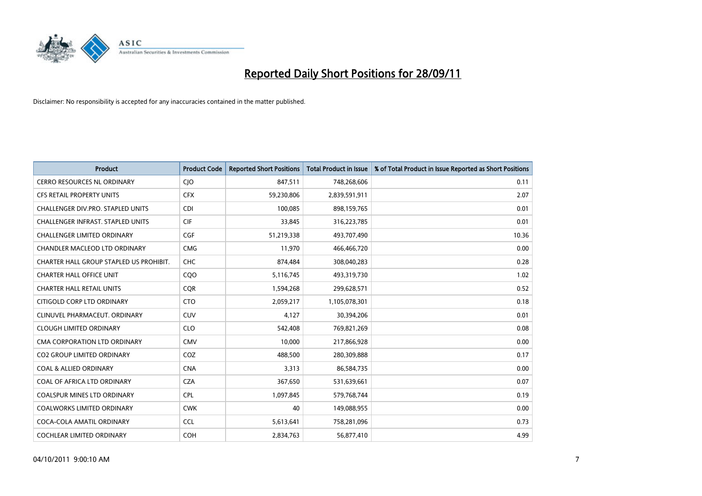

| <b>Product</b>                          | <b>Product Code</b> | <b>Reported Short Positions</b> | <b>Total Product in Issue</b> | % of Total Product in Issue Reported as Short Positions |
|-----------------------------------------|---------------------|---------------------------------|-------------------------------|---------------------------------------------------------|
| <b>CERRO RESOURCES NL ORDINARY</b>      | <b>CIO</b>          | 847,511                         | 748,268,606                   | 0.11                                                    |
| CFS RETAIL PROPERTY UNITS               | <b>CFX</b>          | 59,230,806                      | 2,839,591,911                 | 2.07                                                    |
| CHALLENGER DIV.PRO. STAPLED UNITS       | <b>CDI</b>          | 100.085                         | 898,159,765                   | 0.01                                                    |
| CHALLENGER INFRAST. STAPLED UNITS       | <b>CIF</b>          | 33,845                          | 316,223,785                   | 0.01                                                    |
| <b>CHALLENGER LIMITED ORDINARY</b>      | <b>CGF</b>          | 51,219,338                      | 493,707,490                   | 10.36                                                   |
| CHANDLER MACLEOD LTD ORDINARY           | <b>CMG</b>          | 11,970                          | 466,466,720                   | 0.00                                                    |
| CHARTER HALL GROUP STAPLED US PROHIBIT. | <b>CHC</b>          | 874,484                         | 308,040,283                   | 0.28                                                    |
| <b>CHARTER HALL OFFICE UNIT</b>         | COO                 | 5,116,745                       | 493,319,730                   | 1.02                                                    |
| <b>CHARTER HALL RETAIL UNITS</b>        | <b>COR</b>          | 1,594,268                       | 299,628,571                   | 0.52                                                    |
| CITIGOLD CORP LTD ORDINARY              | <b>CTO</b>          | 2,059,217                       | 1,105,078,301                 | 0.18                                                    |
| CLINUVEL PHARMACEUT. ORDINARY           | <b>CUV</b>          | 4,127                           | 30,394,206                    | 0.01                                                    |
| <b>CLOUGH LIMITED ORDINARY</b>          | <b>CLO</b>          | 542,408                         | 769,821,269                   | 0.08                                                    |
| CMA CORPORATION LTD ORDINARY            | <b>CMV</b>          | 10,000                          | 217,866,928                   | 0.00                                                    |
| <b>CO2 GROUP LIMITED ORDINARY</b>       | COZ                 | 488,500                         | 280,309,888                   | 0.17                                                    |
| <b>COAL &amp; ALLIED ORDINARY</b>       | <b>CNA</b>          | 3,313                           | 86,584,735                    | 0.00                                                    |
| COAL OF AFRICA LTD ORDINARY             | <b>CZA</b>          | 367,650                         | 531,639,661                   | 0.07                                                    |
| COALSPUR MINES LTD ORDINARY             | <b>CPL</b>          | 1,097,845                       | 579,768,744                   | 0.19                                                    |
| COALWORKS LIMITED ORDINARY              | <b>CWK</b>          | 40                              | 149,088,955                   | 0.00                                                    |
| COCA-COLA AMATIL ORDINARY               | <b>CCL</b>          | 5,613,641                       | 758,281,096                   | 0.73                                                    |
| COCHLEAR LIMITED ORDINARY               | <b>COH</b>          | 2,834,763                       | 56,877,410                    | 4.99                                                    |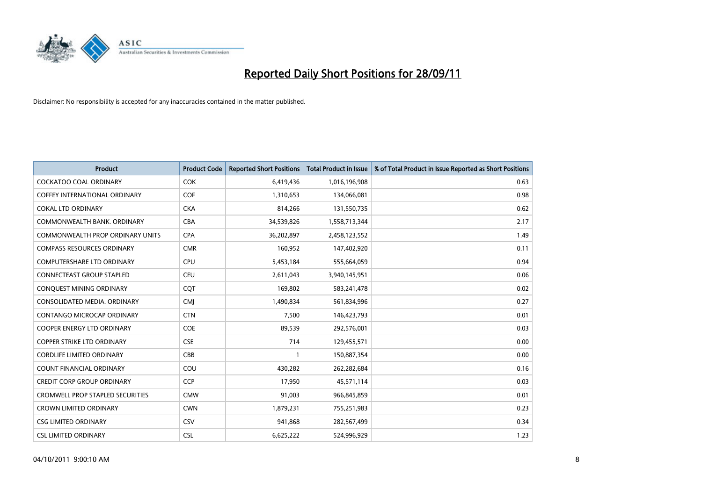

| <b>Product</b>                          | <b>Product Code</b> | <b>Reported Short Positions</b> | <b>Total Product in Issue</b> | % of Total Product in Issue Reported as Short Positions |
|-----------------------------------------|---------------------|---------------------------------|-------------------------------|---------------------------------------------------------|
| <b>COCKATOO COAL ORDINARY</b>           | <b>COK</b>          | 6,419,436                       | 1,016,196,908                 | 0.63                                                    |
| COFFEY INTERNATIONAL ORDINARY           | <b>COF</b>          | 1,310,653                       | 134,066,081                   | 0.98                                                    |
| <b>COKAL LTD ORDINARY</b>               | <b>CKA</b>          | 814,266                         | 131,550,735                   | 0.62                                                    |
| COMMONWEALTH BANK, ORDINARY             | CBA                 | 34,539,826                      | 1,558,713,344                 | 2.17                                                    |
| <b>COMMONWEALTH PROP ORDINARY UNITS</b> | <b>CPA</b>          | 36,202,897                      | 2,458,123,552                 | 1.49                                                    |
| <b>COMPASS RESOURCES ORDINARY</b>       | <b>CMR</b>          | 160,952                         | 147,402,920                   | 0.11                                                    |
| <b>COMPUTERSHARE LTD ORDINARY</b>       | <b>CPU</b>          | 5,453,184                       | 555,664,059                   | 0.94                                                    |
| <b>CONNECTEAST GROUP STAPLED</b>        | <b>CEU</b>          | 2,611,043                       | 3,940,145,951                 | 0.06                                                    |
| CONQUEST MINING ORDINARY                | COT                 | 169,802                         | 583,241,478                   | 0.02                                                    |
| CONSOLIDATED MEDIA, ORDINARY            | <b>CMI</b>          | 1,490,834                       | 561,834,996                   | 0.27                                                    |
| CONTANGO MICROCAP ORDINARY              | <b>CTN</b>          | 7,500                           | 146,423,793                   | 0.01                                                    |
| <b>COOPER ENERGY LTD ORDINARY</b>       | <b>COE</b>          | 89,539                          | 292,576,001                   | 0.03                                                    |
| <b>COPPER STRIKE LTD ORDINARY</b>       | <b>CSE</b>          | 714                             | 129,455,571                   | 0.00                                                    |
| <b>CORDLIFE LIMITED ORDINARY</b>        | CBB                 |                                 | 150,887,354                   | 0.00                                                    |
| <b>COUNT FINANCIAL ORDINARY</b>         | COU                 | 430,282                         | 262,282,684                   | 0.16                                                    |
| <b>CREDIT CORP GROUP ORDINARY</b>       | <b>CCP</b>          | 17,950                          | 45,571,114                    | 0.03                                                    |
| <b>CROMWELL PROP STAPLED SECURITIES</b> | <b>CMW</b>          | 91,003                          | 966,845,859                   | 0.01                                                    |
| <b>CROWN LIMITED ORDINARY</b>           | <b>CWN</b>          | 1,879,231                       | 755,251,983                   | 0.23                                                    |
| <b>CSG LIMITED ORDINARY</b>             | CSV                 | 941,868                         | 282,567,499                   | 0.34                                                    |
| <b>CSL LIMITED ORDINARY</b>             | <b>CSL</b>          | 6,625,222                       | 524.996.929                   | 1.23                                                    |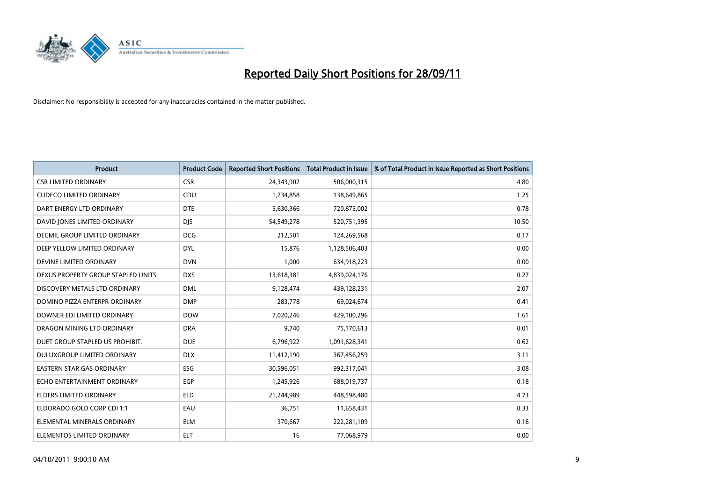

| <b>Product</b>                     | <b>Product Code</b> | <b>Reported Short Positions</b> | <b>Total Product in Issue</b> | % of Total Product in Issue Reported as Short Positions |
|------------------------------------|---------------------|---------------------------------|-------------------------------|---------------------------------------------------------|
| <b>CSR LIMITED ORDINARY</b>        | <b>CSR</b>          | 24,343,902                      | 506,000,315                   | 4.80                                                    |
| <b>CUDECO LIMITED ORDINARY</b>     | CDU                 | 1,734,858                       | 138,649,865                   | 1.25                                                    |
| DART ENERGY LTD ORDINARY           | <b>DTE</b>          | 5,630,366                       | 720,875,002                   | 0.78                                                    |
| DAVID JONES LIMITED ORDINARY       | <b>DJS</b>          | 54,549,278                      | 520,751,395                   | 10.50                                                   |
| DECMIL GROUP LIMITED ORDINARY      | <b>DCG</b>          | 212,501                         | 124,269,568                   | 0.17                                                    |
| DEEP YELLOW LIMITED ORDINARY       | <b>DYL</b>          | 15,876                          | 1,128,506,403                 | 0.00                                                    |
| DEVINE LIMITED ORDINARY            | <b>DVN</b>          | 1,000                           | 634,918,223                   | 0.00                                                    |
| DEXUS PROPERTY GROUP STAPLED UNITS | <b>DXS</b>          | 13,618,381                      | 4,839,024,176                 | 0.27                                                    |
| DISCOVERY METALS LTD ORDINARY      | <b>DML</b>          | 9,128,474                       | 439,128,231                   | 2.07                                                    |
| DOMINO PIZZA ENTERPR ORDINARY      | <b>DMP</b>          | 283,778                         | 69,024,674                    | 0.41                                                    |
| DOWNER EDI LIMITED ORDINARY        | <b>DOW</b>          | 7,020,246                       | 429,100,296                   | 1.61                                                    |
| DRAGON MINING LTD ORDINARY         | <b>DRA</b>          | 9,740                           | 75,170,613                    | 0.01                                                    |
| DUET GROUP STAPLED US PROHIBIT.    | <b>DUE</b>          | 6,796,922                       | 1,091,628,341                 | 0.62                                                    |
| DULUXGROUP LIMITED ORDINARY        | <b>DLX</b>          | 11,412,190                      | 367,456,259                   | 3.11                                                    |
| <b>EASTERN STAR GAS ORDINARY</b>   | ESG                 | 30,596,051                      | 992,317,041                   | 3.08                                                    |
| ECHO ENTERTAINMENT ORDINARY        | <b>EGP</b>          | 1,245,926                       | 688,019,737                   | 0.18                                                    |
| ELDERS LIMITED ORDINARY            | <b>ELD</b>          | 21,244,989                      | 448,598,480                   | 4.73                                                    |
| ELDORADO GOLD CORP CDI 1:1         | EAU                 | 36,751                          | 11,658,431                    | 0.33                                                    |
| ELEMENTAL MINERALS ORDINARY        | <b>ELM</b>          | 370,667                         | 222,281,109                   | 0.16                                                    |
| ELEMENTOS LIMITED ORDINARY         | <b>ELT</b>          | 16                              | 77,068,979                    | 0.00                                                    |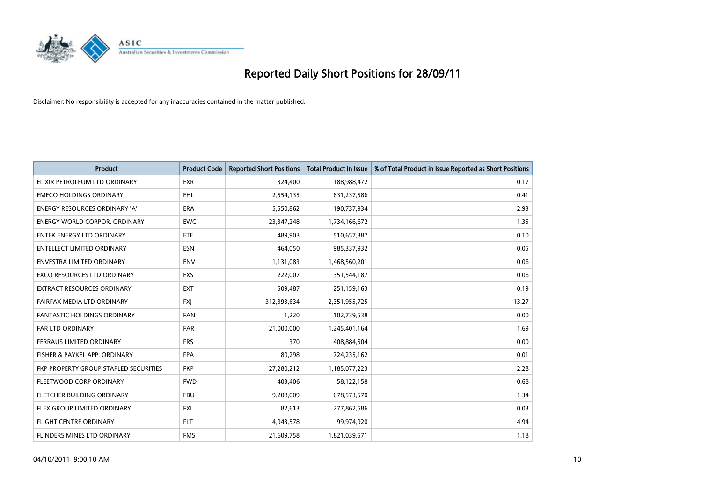

| <b>Product</b>                        | <b>Product Code</b> | <b>Reported Short Positions</b> | <b>Total Product in Issue</b> | % of Total Product in Issue Reported as Short Positions |
|---------------------------------------|---------------------|---------------------------------|-------------------------------|---------------------------------------------------------|
| ELIXIR PETROLEUM LTD ORDINARY         | <b>EXR</b>          | 324,400                         | 188,988,472                   | 0.17                                                    |
| <b>EMECO HOLDINGS ORDINARY</b>        | <b>EHL</b>          | 2,554,135                       | 631,237,586                   | 0.41                                                    |
| <b>ENERGY RESOURCES ORDINARY 'A'</b>  | <b>ERA</b>          | 5,550,862                       | 190,737,934                   | 2.93                                                    |
| ENERGY WORLD CORPOR. ORDINARY         | <b>EWC</b>          | 23,347,248                      | 1,734,166,672                 | 1.35                                                    |
| <b>ENTEK ENERGY LTD ORDINARY</b>      | ETE                 | 489,903                         | 510,657,387                   | 0.10                                                    |
| <b>ENTELLECT LIMITED ORDINARY</b>     | ESN                 | 464.050                         | 985,337,932                   | 0.05                                                    |
| ENVESTRA LIMITED ORDINARY             | <b>ENV</b>          | 1,131,083                       | 1,468,560,201                 | 0.06                                                    |
| EXCO RESOURCES LTD ORDINARY           | EXS                 | 222,007                         | 351,544,187                   | 0.06                                                    |
| <b>EXTRACT RESOURCES ORDINARY</b>     | <b>EXT</b>          | 509,487                         | 251,159,163                   | 0.19                                                    |
| FAIRFAX MEDIA LTD ORDINARY            | <b>FXI</b>          | 312,393,634                     | 2,351,955,725                 | 13.27                                                   |
| FANTASTIC HOLDINGS ORDINARY           | <b>FAN</b>          | 1,220                           | 102,739,538                   | 0.00                                                    |
| <b>FAR LTD ORDINARY</b>               | <b>FAR</b>          | 21,000,000                      | 1,245,401,164                 | 1.69                                                    |
| FERRAUS LIMITED ORDINARY              | <b>FRS</b>          | 370                             | 408,884,504                   | 0.00                                                    |
| FISHER & PAYKEL APP. ORDINARY         | <b>FPA</b>          | 80,298                          | 724,235,162                   | 0.01                                                    |
| FKP PROPERTY GROUP STAPLED SECURITIES | <b>FKP</b>          | 27,280,212                      | 1,185,077,223                 | 2.28                                                    |
| FLEETWOOD CORP ORDINARY               | <b>FWD</b>          | 403,406                         | 58,122,158                    | 0.68                                                    |
| FLETCHER BUILDING ORDINARY            | <b>FBU</b>          | 9,208,009                       | 678,573,570                   | 1.34                                                    |
| FLEXIGROUP LIMITED ORDINARY           | <b>FXL</b>          | 82,613                          | 277,862,586                   | 0.03                                                    |
| FLIGHT CENTRE ORDINARY                | <b>FLT</b>          | 4,943,578                       | 99,974,920                    | 4.94                                                    |
| FLINDERS MINES LTD ORDINARY           | <b>FMS</b>          | 21,609,758                      | 1,821,039,571                 | 1.18                                                    |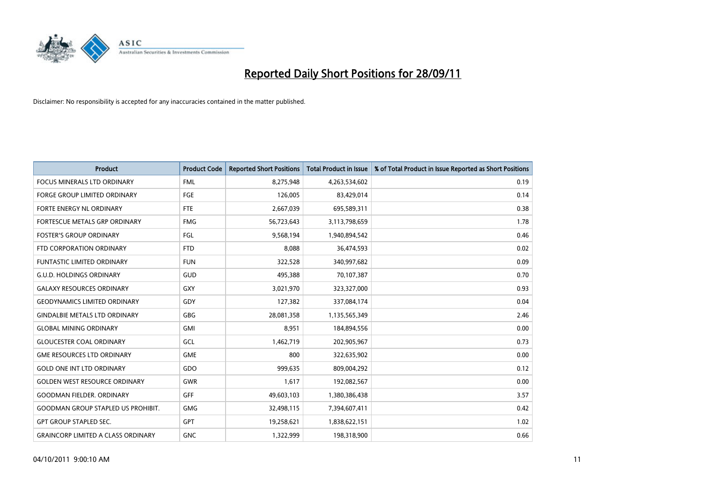

| <b>Product</b>                            | <b>Product Code</b> | <b>Reported Short Positions</b> | <b>Total Product in Issue</b> | % of Total Product in Issue Reported as Short Positions |
|-------------------------------------------|---------------------|---------------------------------|-------------------------------|---------------------------------------------------------|
| <b>FOCUS MINERALS LTD ORDINARY</b>        | <b>FML</b>          | 8,275,948                       | 4,263,534,602                 | 0.19                                                    |
| FORGE GROUP LIMITED ORDINARY              | FGE                 | 126,005                         | 83,429,014                    | 0.14                                                    |
| <b>FORTE ENERGY NL ORDINARY</b>           | <b>FTE</b>          | 2,667,039                       | 695,589,311                   | 0.38                                                    |
| FORTESCUE METALS GRP ORDINARY             | <b>FMG</b>          | 56,723,643                      | 3,113,798,659                 | 1.78                                                    |
| <b>FOSTER'S GROUP ORDINARY</b>            | FGL                 | 9,568,194                       | 1,940,894,542                 | 0.46                                                    |
| FTD CORPORATION ORDINARY                  | <b>FTD</b>          | 8,088                           | 36,474,593                    | 0.02                                                    |
| FUNTASTIC LIMITED ORDINARY                | <b>FUN</b>          | 322,528                         | 340,997,682                   | 0.09                                                    |
| <b>G.U.D. HOLDINGS ORDINARY</b>           | GUD                 | 495,388                         | 70,107,387                    | 0.70                                                    |
| <b>GALAXY RESOURCES ORDINARY</b>          | GXY                 | 3,021,970                       | 323,327,000                   | 0.93                                                    |
| <b>GEODYNAMICS LIMITED ORDINARY</b>       | GDY                 | 127,382                         | 337,084,174                   | 0.04                                                    |
| <b>GINDALBIE METALS LTD ORDINARY</b>      | <b>GBG</b>          | 28,081,358                      | 1,135,565,349                 | 2.46                                                    |
| <b>GLOBAL MINING ORDINARY</b>             | <b>GMI</b>          | 8,951                           | 184,894,556                   | 0.00                                                    |
| <b>GLOUCESTER COAL ORDINARY</b>           | GCL                 | 1,462,719                       | 202,905,967                   | 0.73                                                    |
| <b>GME RESOURCES LTD ORDINARY</b>         | <b>GME</b>          | 800                             | 322,635,902                   | 0.00                                                    |
| <b>GOLD ONE INT LTD ORDINARY</b>          | GDO                 | 999,635                         | 809,004,292                   | 0.12                                                    |
| <b>GOLDEN WEST RESOURCE ORDINARY</b>      | <b>GWR</b>          | 1,617                           | 192,082,567                   | 0.00                                                    |
| <b>GOODMAN FIELDER, ORDINARY</b>          | <b>GFF</b>          | 49,603,103                      | 1,380,386,438                 | 3.57                                                    |
| <b>GOODMAN GROUP STAPLED US PROHIBIT.</b> | <b>GMG</b>          | 32,498,115                      | 7,394,607,411                 | 0.42                                                    |
| <b>GPT GROUP STAPLED SEC.</b>             | GPT                 | 19,258,621                      | 1,838,622,151                 | 1.02                                                    |
| <b>GRAINCORP LIMITED A CLASS ORDINARY</b> | <b>GNC</b>          | 1,322,999                       | 198,318,900                   | 0.66                                                    |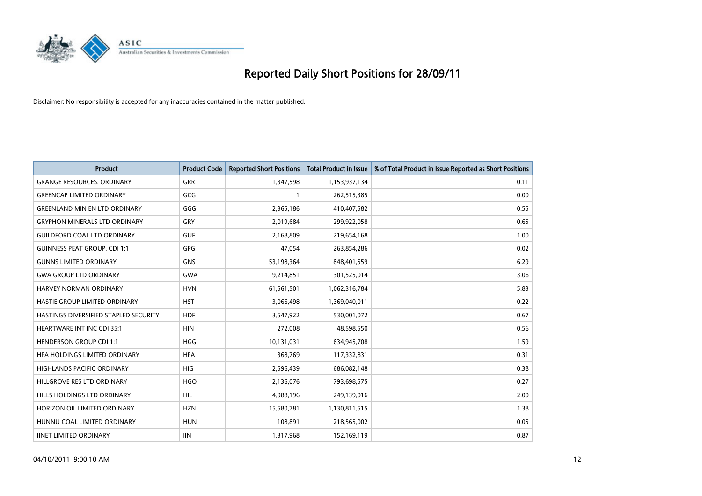

| <b>Product</b>                        | <b>Product Code</b> | <b>Reported Short Positions</b> | <b>Total Product in Issue</b> | % of Total Product in Issue Reported as Short Positions |
|---------------------------------------|---------------------|---------------------------------|-------------------------------|---------------------------------------------------------|
| <b>GRANGE RESOURCES, ORDINARY</b>     | <b>GRR</b>          | 1,347,598                       | 1,153,937,134                 | 0.11                                                    |
| <b>GREENCAP LIMITED ORDINARY</b>      | GCG                 |                                 | 262,515,385                   | 0.00                                                    |
| <b>GREENLAND MIN EN LTD ORDINARY</b>  | GGG                 | 2,365,186                       | 410,407,582                   | 0.55                                                    |
| <b>GRYPHON MINERALS LTD ORDINARY</b>  | GRY                 | 2,019,684                       | 299,922,058                   | 0.65                                                    |
| <b>GUILDFORD COAL LTD ORDINARY</b>    | <b>GUF</b>          | 2,168,809                       | 219,654,168                   | 1.00                                                    |
| <b>GUINNESS PEAT GROUP. CDI 1:1</b>   | <b>GPG</b>          | 47.054                          | 263,854,286                   | 0.02                                                    |
| <b>GUNNS LIMITED ORDINARY</b>         | <b>GNS</b>          | 53,198,364                      | 848,401,559                   | 6.29                                                    |
| <b>GWA GROUP LTD ORDINARY</b>         | <b>GWA</b>          | 9,214,851                       | 301,525,014                   | 3.06                                                    |
| HARVEY NORMAN ORDINARY                | <b>HVN</b>          | 61,561,501                      | 1,062,316,784                 | 5.83                                                    |
| <b>HASTIE GROUP LIMITED ORDINARY</b>  | <b>HST</b>          | 3,066,498                       | 1,369,040,011                 | 0.22                                                    |
| HASTINGS DIVERSIFIED STAPLED SECURITY | <b>HDF</b>          | 3,547,922                       | 530,001,072                   | 0.67                                                    |
| HEARTWARE INT INC CDI 35:1            | <b>HIN</b>          | 272,008                         | 48,598,550                    | 0.56                                                    |
| <b>HENDERSON GROUP CDI 1:1</b>        | <b>HGG</b>          | 10,131,031                      | 634,945,708                   | 1.59                                                    |
| HFA HOLDINGS LIMITED ORDINARY         | <b>HFA</b>          | 368,769                         | 117,332,831                   | 0.31                                                    |
| <b>HIGHLANDS PACIFIC ORDINARY</b>     | <b>HIG</b>          | 2,596,439                       | 686,082,148                   | 0.38                                                    |
| HILLGROVE RES LTD ORDINARY            | <b>HGO</b>          | 2,136,076                       | 793,698,575                   | 0.27                                                    |
| HILLS HOLDINGS LTD ORDINARY           | <b>HIL</b>          | 4,988,196                       | 249,139,016                   | 2.00                                                    |
| HORIZON OIL LIMITED ORDINARY          | <b>HZN</b>          | 15,580,781                      | 1,130,811,515                 | 1.38                                                    |
| HUNNU COAL LIMITED ORDINARY           | <b>HUN</b>          | 108,891                         | 218,565,002                   | 0.05                                                    |
| <b>IINET LIMITED ORDINARY</b>         | <b>IIN</b>          | 1,317,968                       | 152,169,119                   | 0.87                                                    |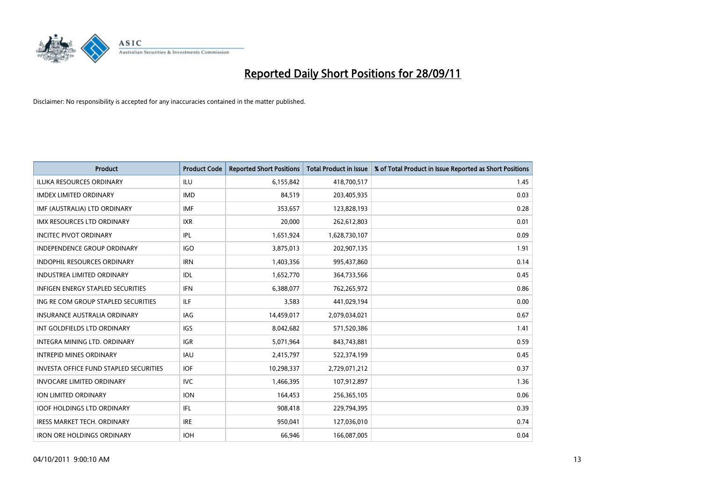

| <b>Product</b>                                | <b>Product Code</b> | <b>Reported Short Positions</b> | <b>Total Product in Issue</b> | % of Total Product in Issue Reported as Short Positions |
|-----------------------------------------------|---------------------|---------------------------------|-------------------------------|---------------------------------------------------------|
| <b>ILUKA RESOURCES ORDINARY</b>               | ILU                 | 6,155,842                       | 418,700,517                   | 1.45                                                    |
| <b>IMDEX LIMITED ORDINARY</b>                 | <b>IMD</b>          | 84,519                          | 203,405,935                   | 0.03                                                    |
| IMF (AUSTRALIA) LTD ORDINARY                  | <b>IMF</b>          | 353,657                         | 123,828,193                   | 0.28                                                    |
| IMX RESOURCES LTD ORDINARY                    | <b>IXR</b>          | 20,000                          | 262,612,803                   | 0.01                                                    |
| <b>INCITEC PIVOT ORDINARY</b>                 | IPL                 | 1,651,924                       | 1,628,730,107                 | 0.09                                                    |
| <b>INDEPENDENCE GROUP ORDINARY</b>            | <b>IGO</b>          | 3,875,013                       | 202,907,135                   | 1.91                                                    |
| <b>INDOPHIL RESOURCES ORDINARY</b>            | <b>IRN</b>          | 1,403,356                       | 995,437,860                   | 0.14                                                    |
| <b>INDUSTREA LIMITED ORDINARY</b>             | IDL                 | 1,652,770                       | 364,733,566                   | 0.45                                                    |
| INFIGEN ENERGY STAPLED SECURITIES             | <b>IFN</b>          | 6,388,077                       | 762,265,972                   | 0.86                                                    |
| ING RE COM GROUP STAPLED SECURITIES           | ILF.                | 3,583                           | 441,029,194                   | 0.00                                                    |
| <b>INSURANCE AUSTRALIA ORDINARY</b>           | IAG                 | 14,459,017                      | 2,079,034,021                 | 0.67                                                    |
| INT GOLDFIELDS LTD ORDINARY                   | <b>IGS</b>          | 8,042,682                       | 571,520,386                   | 1.41                                                    |
| <b>INTEGRA MINING LTD, ORDINARY</b>           | <b>IGR</b>          | 5,071,964                       | 843,743,881                   | 0.59                                                    |
| <b>INTREPID MINES ORDINARY</b>                | <b>IAU</b>          | 2,415,797                       | 522,374,199                   | 0.45                                                    |
| <b>INVESTA OFFICE FUND STAPLED SECURITIES</b> | <b>IOF</b>          | 10,298,337                      | 2,729,071,212                 | 0.37                                                    |
| <b>INVOCARE LIMITED ORDINARY</b>              | <b>IVC</b>          | 1,466,395                       | 107,912,897                   | 1.36                                                    |
| ION LIMITED ORDINARY                          | <b>ION</b>          | 164,453                         | 256,365,105                   | 0.06                                                    |
| <b>IOOF HOLDINGS LTD ORDINARY</b>             | IFL.                | 908,418                         | 229,794,395                   | 0.39                                                    |
| <b>IRESS MARKET TECH. ORDINARY</b>            | <b>IRE</b>          | 950,041                         | 127,036,010                   | 0.74                                                    |
| <b>IRON ORE HOLDINGS ORDINARY</b>             | <b>IOH</b>          | 66,946                          | 166,087,005                   | 0.04                                                    |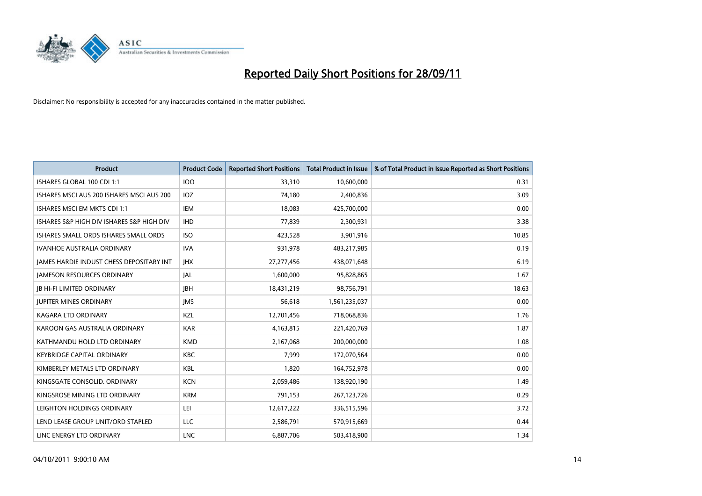

| <b>Product</b>                            | <b>Product Code</b> | <b>Reported Short Positions</b> | <b>Total Product in Issue</b> | % of Total Product in Issue Reported as Short Positions |
|-------------------------------------------|---------------------|---------------------------------|-------------------------------|---------------------------------------------------------|
| ISHARES GLOBAL 100 CDI 1:1                | 100                 | 33,310                          | 10,600,000                    | 0.31                                                    |
| ISHARES MSCI AUS 200 ISHARES MSCI AUS 200 | IOZ                 | 74,180                          | 2,400,836                     | 3.09                                                    |
| ISHARES MSCI EM MKTS CDI 1:1              | IEM                 | 18,083                          | 425,700,000                   | 0.00                                                    |
| ISHARES S&P HIGH DIV ISHARES S&P HIGH DIV | <b>IHD</b>          | 77,839                          | 2,300,931                     | 3.38                                                    |
| ISHARES SMALL ORDS ISHARES SMALL ORDS     | <b>ISO</b>          | 423,528                         | 3,901,916                     | 10.85                                                   |
| <b>IVANHOE AUSTRALIA ORDINARY</b>         | <b>IVA</b>          | 931,978                         | 483,217,985                   | 0.19                                                    |
| JAMES HARDIE INDUST CHESS DEPOSITARY INT  | <b>IHX</b>          | 27,277,456                      | 438,071,648                   | 6.19                                                    |
| <b>JAMESON RESOURCES ORDINARY</b>         | <b>JAL</b>          | 1,600,000                       | 95,828,865                    | 1.67                                                    |
| <b>JB HI-FI LIMITED ORDINARY</b>          | <b>IBH</b>          | 18,431,219                      | 98,756,791                    | 18.63                                                   |
| <b>JUPITER MINES ORDINARY</b>             | <b>IMS</b>          | 56,618                          | 1,561,235,037                 | 0.00                                                    |
| KAGARA LTD ORDINARY                       | KZL                 | 12,701,456                      | 718,068,836                   | 1.76                                                    |
| KAROON GAS AUSTRALIA ORDINARY             | <b>KAR</b>          | 4,163,815                       | 221,420,769                   | 1.87                                                    |
| KATHMANDU HOLD LTD ORDINARY               | <b>KMD</b>          | 2,167,068                       | 200,000,000                   | 1.08                                                    |
| <b>KEYBRIDGE CAPITAL ORDINARY</b>         | <b>KBC</b>          | 7,999                           | 172,070,564                   | 0.00                                                    |
| KIMBERLEY METALS LTD ORDINARY             | <b>KBL</b>          | 1,820                           | 164,752,978                   | 0.00                                                    |
| KINGSGATE CONSOLID. ORDINARY              | <b>KCN</b>          | 2,059,486                       | 138,920,190                   | 1.49                                                    |
| KINGSROSE MINING LTD ORDINARY             | <b>KRM</b>          | 791,153                         | 267,123,726                   | 0.29                                                    |
| LEIGHTON HOLDINGS ORDINARY                | LEI                 | 12,617,222                      | 336,515,596                   | 3.72                                                    |
| LEND LEASE GROUP UNIT/ORD STAPLED         | LLC                 | 2,586,791                       | 570,915,669                   | 0.44                                                    |
| LINC ENERGY LTD ORDINARY                  | <b>LNC</b>          | 6,887,706                       | 503,418,900                   | 1.34                                                    |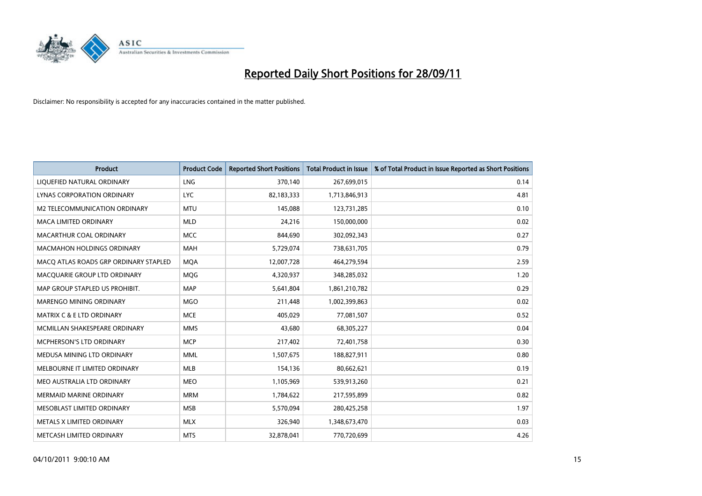

| <b>Product</b>                        | <b>Product Code</b> | <b>Reported Short Positions</b> | <b>Total Product in Issue</b> | % of Total Product in Issue Reported as Short Positions |
|---------------------------------------|---------------------|---------------------------------|-------------------------------|---------------------------------------------------------|
| LIQUEFIED NATURAL ORDINARY            | <b>LNG</b>          | 370,140                         | 267,699,015                   | 0.14                                                    |
| LYNAS CORPORATION ORDINARY            | <b>LYC</b>          | 82,183,333                      | 1,713,846,913                 | 4.81                                                    |
| M2 TELECOMMUNICATION ORDINARY         | <b>MTU</b>          | 145,088                         | 123,731,285                   | 0.10                                                    |
| MACA LIMITED ORDINARY                 | <b>MLD</b>          | 24,216                          | 150,000,000                   | 0.02                                                    |
| MACARTHUR COAL ORDINARY               | <b>MCC</b>          | 844,690                         | 302,092,343                   | 0.27                                                    |
| <b>MACMAHON HOLDINGS ORDINARY</b>     | <b>MAH</b>          | 5,729,074                       | 738,631,705                   | 0.79                                                    |
| MACO ATLAS ROADS GRP ORDINARY STAPLED | <b>MOA</b>          | 12,007,728                      | 464,279,594                   | 2.59                                                    |
| MACQUARIE GROUP LTD ORDINARY          | <b>MOG</b>          | 4,320,937                       | 348,285,032                   | 1.20                                                    |
| MAP GROUP STAPLED US PROHIBIT.        | <b>MAP</b>          | 5,641,804                       | 1,861,210,782                 | 0.29                                                    |
| MARENGO MINING ORDINARY               | <b>MGO</b>          | 211,448                         | 1,002,399,863                 | 0.02                                                    |
| MATRIX C & E LTD ORDINARY             | <b>MCE</b>          | 405,029                         | 77,081,507                    | 0.52                                                    |
| MCMILLAN SHAKESPEARE ORDINARY         | <b>MMS</b>          | 43,680                          | 68,305,227                    | 0.04                                                    |
| MCPHERSON'S LTD ORDINARY              | <b>MCP</b>          | 217,402                         | 72,401,758                    | 0.30                                                    |
| MEDUSA MINING LTD ORDINARY            | <b>MML</b>          | 1,507,675                       | 188,827,911                   | 0.80                                                    |
| MELBOURNE IT LIMITED ORDINARY         | <b>MLB</b>          | 154,136                         | 80,662,621                    | 0.19                                                    |
| MEO AUSTRALIA LTD ORDINARY            | <b>MEO</b>          | 1,105,969                       | 539,913,260                   | 0.21                                                    |
| MERMAID MARINE ORDINARY               | <b>MRM</b>          | 1,784,622                       | 217,595,899                   | 0.82                                                    |
| MESOBLAST LIMITED ORDINARY            | <b>MSB</b>          | 5,570,094                       | 280,425,258                   | 1.97                                                    |
| METALS X LIMITED ORDINARY             | <b>MLX</b>          | 326,940                         | 1,348,673,470                 | 0.03                                                    |
| METCASH LIMITED ORDINARY              | <b>MTS</b>          | 32,878,041                      | 770,720,699                   | 4.26                                                    |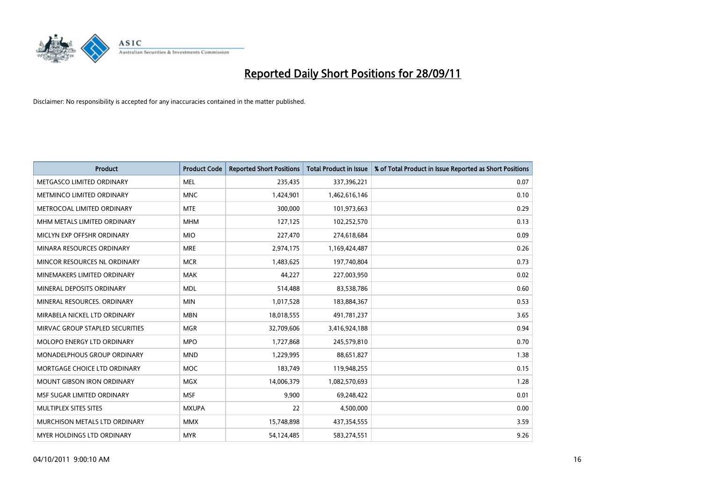

| <b>Product</b>                  | <b>Product Code</b> | <b>Reported Short Positions</b> | <b>Total Product in Issue</b> | % of Total Product in Issue Reported as Short Positions |
|---------------------------------|---------------------|---------------------------------|-------------------------------|---------------------------------------------------------|
| METGASCO LIMITED ORDINARY       | <b>MEL</b>          | 235,435                         | 337,396,221                   | 0.07                                                    |
| METMINCO LIMITED ORDINARY       | <b>MNC</b>          | 1,424,901                       | 1,462,616,146                 | 0.10                                                    |
| METROCOAL LIMITED ORDINARY      | <b>MTE</b>          | 300,000                         | 101,973,663                   | 0.29                                                    |
| MHM METALS LIMITED ORDINARY     | <b>MHM</b>          | 127,125                         | 102,252,570                   | 0.13                                                    |
| MICLYN EXP OFFSHR ORDINARY      | <b>MIO</b>          | 227,470                         | 274,618,684                   | 0.09                                                    |
| MINARA RESOURCES ORDINARY       | <b>MRE</b>          | 2,974,175                       | 1,169,424,487                 | 0.26                                                    |
| MINCOR RESOURCES NL ORDINARY    | <b>MCR</b>          | 1,483,625                       | 197,740,804                   | 0.73                                                    |
| MINEMAKERS LIMITED ORDINARY     | <b>MAK</b>          | 44,227                          | 227,003,950                   | 0.02                                                    |
| MINERAL DEPOSITS ORDINARY       | <b>MDL</b>          | 514,488                         | 83,538,786                    | 0.60                                                    |
| MINERAL RESOURCES, ORDINARY     | <b>MIN</b>          | 1,017,528                       | 183,884,367                   | 0.53                                                    |
| MIRABELA NICKEL LTD ORDINARY    | <b>MBN</b>          | 18,018,555                      | 491,781,237                   | 3.65                                                    |
| MIRVAC GROUP STAPLED SECURITIES | <b>MGR</b>          | 32,709,606                      | 3,416,924,188                 | 0.94                                                    |
| MOLOPO ENERGY LTD ORDINARY      | <b>MPO</b>          | 1,727,868                       | 245,579,810                   | 0.70                                                    |
| MONADELPHOUS GROUP ORDINARY     | <b>MND</b>          | 1,229,995                       | 88,651,827                    | 1.38                                                    |
| MORTGAGE CHOICE LTD ORDINARY    | <b>MOC</b>          | 183,749                         | 119,948,255                   | 0.15                                                    |
| MOUNT GIBSON IRON ORDINARY      | <b>MGX</b>          | 14,006,379                      | 1,082,570,693                 | 1.28                                                    |
| MSF SUGAR LIMITED ORDINARY      | <b>MSF</b>          | 9,900                           | 69,248,422                    | 0.01                                                    |
| MULTIPLEX SITES SITES           | <b>MXUPA</b>        | 22                              | 4,500,000                     | 0.00                                                    |
| MURCHISON METALS LTD ORDINARY   | <b>MMX</b>          | 15,748,898                      | 437,354,555                   | 3.59                                                    |
| MYER HOLDINGS LTD ORDINARY      | <b>MYR</b>          | 54,124,485                      | 583,274,551                   | 9.26                                                    |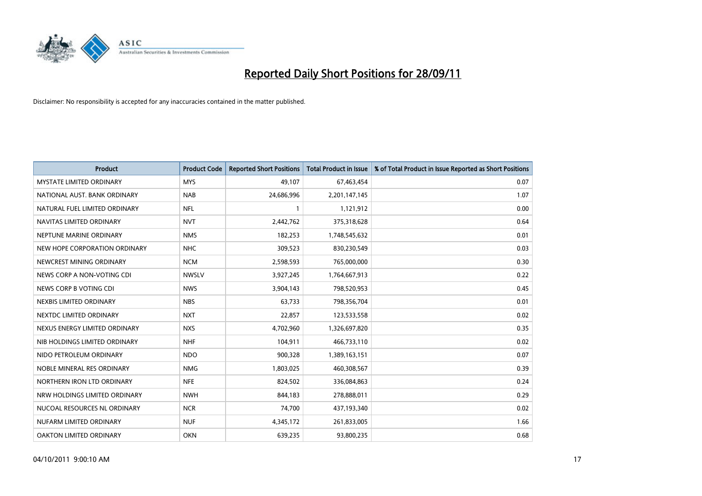

| <b>Product</b>                  | <b>Product Code</b> | <b>Reported Short Positions</b> | <b>Total Product in Issue</b> | % of Total Product in Issue Reported as Short Positions |
|---------------------------------|---------------------|---------------------------------|-------------------------------|---------------------------------------------------------|
| <b>MYSTATE LIMITED ORDINARY</b> | <b>MYS</b>          | 49,107                          | 67,463,454                    | 0.07                                                    |
| NATIONAL AUST. BANK ORDINARY    | <b>NAB</b>          | 24,686,996                      | 2,201,147,145                 | 1.07                                                    |
| NATURAL FUEL LIMITED ORDINARY   | <b>NFL</b>          | 1                               | 1,121,912                     | 0.00                                                    |
| NAVITAS LIMITED ORDINARY        | <b>NVT</b>          | 2,442,762                       | 375,318,628                   | 0.64                                                    |
| NEPTUNE MARINE ORDINARY         | <b>NMS</b>          | 182,253                         | 1,748,545,632                 | 0.01                                                    |
| NEW HOPE CORPORATION ORDINARY   | <b>NHC</b>          | 309,523                         | 830,230,549                   | 0.03                                                    |
| NEWCREST MINING ORDINARY        | <b>NCM</b>          | 2,598,593                       | 765,000,000                   | 0.30                                                    |
| NEWS CORP A NON-VOTING CDI      | <b>NWSLV</b>        | 3,927,245                       | 1,764,667,913                 | 0.22                                                    |
| NEWS CORP B VOTING CDI          | <b>NWS</b>          | 3,904,143                       | 798,520,953                   | 0.45                                                    |
| NEXBIS LIMITED ORDINARY         | <b>NBS</b>          | 63,733                          | 798,356,704                   | 0.01                                                    |
| NEXTDC LIMITED ORDINARY         | <b>NXT</b>          | 22,857                          | 123,533,558                   | 0.02                                                    |
| NEXUS ENERGY LIMITED ORDINARY   | <b>NXS</b>          | 4,702,960                       | 1,326,697,820                 | 0.35                                                    |
| NIB HOLDINGS LIMITED ORDINARY   | <b>NHF</b>          | 104,911                         | 466,733,110                   | 0.02                                                    |
| NIDO PETROLEUM ORDINARY         | <b>NDO</b>          | 900.328                         | 1,389,163,151                 | 0.07                                                    |
| NOBLE MINERAL RES ORDINARY      | <b>NMG</b>          | 1,803,025                       | 460,308,567                   | 0.39                                                    |
| NORTHERN IRON LTD ORDINARY      | <b>NFE</b>          | 824,502                         | 336,084,863                   | 0.24                                                    |
| NRW HOLDINGS LIMITED ORDINARY   | <b>NWH</b>          | 844,183                         | 278,888,011                   | 0.29                                                    |
| NUCOAL RESOURCES NL ORDINARY    | <b>NCR</b>          | 74,700                          | 437,193,340                   | 0.02                                                    |
| NUFARM LIMITED ORDINARY         | <b>NUF</b>          | 4,345,172                       | 261,833,005                   | 1.66                                                    |
| OAKTON LIMITED ORDINARY         | <b>OKN</b>          | 639.235                         | 93,800,235                    | 0.68                                                    |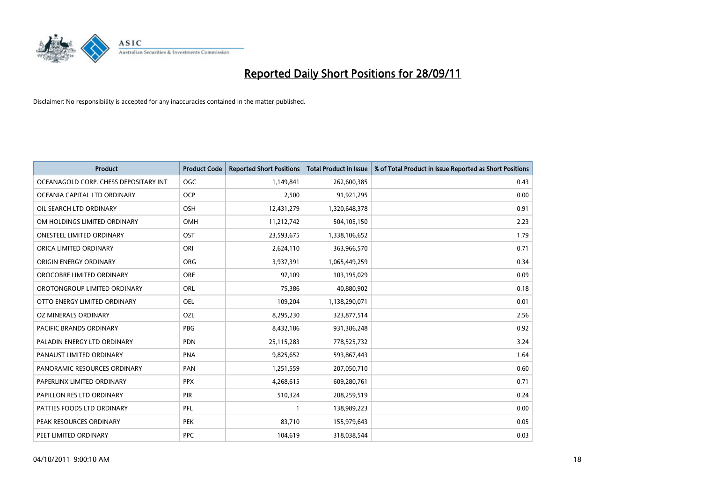

| <b>Product</b>                        | <b>Product Code</b> | <b>Reported Short Positions</b> | <b>Total Product in Issue</b> | % of Total Product in Issue Reported as Short Positions |
|---------------------------------------|---------------------|---------------------------------|-------------------------------|---------------------------------------------------------|
| OCEANAGOLD CORP. CHESS DEPOSITARY INT | <b>OGC</b>          | 1,149,841                       | 262,600,385                   | 0.43                                                    |
| OCEANIA CAPITAL LTD ORDINARY          | <b>OCP</b>          | 2,500                           | 91,921,295                    | 0.00                                                    |
| OIL SEARCH LTD ORDINARY               | OSH                 | 12,431,279                      | 1,320,648,378                 | 0.91                                                    |
| OM HOLDINGS LIMITED ORDINARY          | OMH                 | 11,212,742                      | 504,105,150                   | 2.23                                                    |
| <b>ONESTEEL LIMITED ORDINARY</b>      | <b>OST</b>          | 23,593,675                      | 1,338,106,652                 | 1.79                                                    |
| ORICA LIMITED ORDINARY                | ORI                 | 2,624,110                       | 363,966,570                   | 0.71                                                    |
| ORIGIN ENERGY ORDINARY                | <b>ORG</b>          | 3,937,391                       | 1,065,449,259                 | 0.34                                                    |
| OROCOBRE LIMITED ORDINARY             | <b>ORE</b>          | 97,109                          | 103,195,029                   | 0.09                                                    |
| OROTONGROUP LIMITED ORDINARY          | ORL                 | 75,386                          | 40,880,902                    | 0.18                                                    |
| OTTO ENERGY LIMITED ORDINARY          | <b>OEL</b>          | 109,204                         | 1,138,290,071                 | 0.01                                                    |
| OZ MINERALS ORDINARY                  | OZL                 | 8,295,230                       | 323,877,514                   | 2.56                                                    |
| PACIFIC BRANDS ORDINARY               | <b>PBG</b>          | 8,432,186                       | 931,386,248                   | 0.92                                                    |
| PALADIN ENERGY LTD ORDINARY           | <b>PDN</b>          | 25,115,283                      | 778,525,732                   | 3.24                                                    |
| PANAUST LIMITED ORDINARY              | <b>PNA</b>          | 9,825,652                       | 593,867,443                   | 1.64                                                    |
| PANORAMIC RESOURCES ORDINARY          | PAN                 | 1,251,559                       | 207,050,710                   | 0.60                                                    |
| PAPERLINX LIMITED ORDINARY            | <b>PPX</b>          | 4,268,615                       | 609,280,761                   | 0.71                                                    |
| PAPILLON RES LTD ORDINARY             | PIR                 | 510,324                         | 208,259,519                   | 0.24                                                    |
| PATTIES FOODS LTD ORDINARY            | PFL                 |                                 | 138,989,223                   | 0.00                                                    |
| PEAK RESOURCES ORDINARY               | <b>PEK</b>          | 83,710                          | 155,979,643                   | 0.05                                                    |
| PEET LIMITED ORDINARY                 | <b>PPC</b>          | 104,619                         | 318,038,544                   | 0.03                                                    |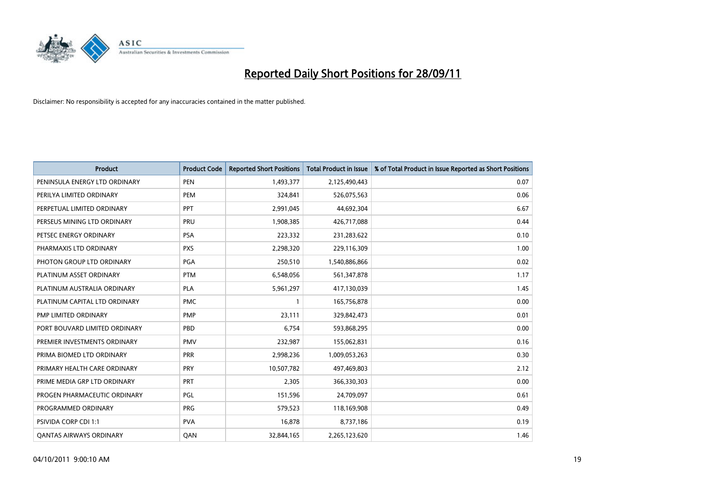

| <b>Product</b>                 | <b>Product Code</b> | <b>Reported Short Positions</b> | <b>Total Product in Issue</b> | % of Total Product in Issue Reported as Short Positions |
|--------------------------------|---------------------|---------------------------------|-------------------------------|---------------------------------------------------------|
| PENINSULA ENERGY LTD ORDINARY  | <b>PEN</b>          | 1,493,377                       | 2,125,490,443                 | 0.07                                                    |
| PERILYA LIMITED ORDINARY       | PEM                 | 324,841                         | 526,075,563                   | 0.06                                                    |
| PERPETUAL LIMITED ORDINARY     | PPT                 | 2,991,045                       | 44,692,304                    | 6.67                                                    |
| PERSEUS MINING LTD ORDINARY    | PRU                 | 1,908,385                       | 426,717,088                   | 0.44                                                    |
| PETSEC ENERGY ORDINARY         | <b>PSA</b>          | 223,332                         | 231,283,622                   | 0.10                                                    |
| PHARMAXIS LTD ORDINARY         | <b>PXS</b>          | 2,298,320                       | 229,116,309                   | 1.00                                                    |
| PHOTON GROUP LTD ORDINARY      | <b>PGA</b>          | 250,510                         | 1,540,886,866                 | 0.02                                                    |
| PLATINUM ASSET ORDINARY        | <b>PTM</b>          | 6,548,056                       | 561,347,878                   | 1.17                                                    |
| PLATINUM AUSTRALIA ORDINARY    | <b>PLA</b>          | 5,961,297                       | 417,130,039                   | 1.45                                                    |
| PLATINUM CAPITAL LTD ORDINARY  | <b>PMC</b>          |                                 | 165,756,878                   | 0.00                                                    |
| PMP LIMITED ORDINARY           | <b>PMP</b>          | 23,111                          | 329,842,473                   | 0.01                                                    |
| PORT BOUVARD LIMITED ORDINARY  | PBD                 | 6,754                           | 593,868,295                   | 0.00                                                    |
| PREMIER INVESTMENTS ORDINARY   | <b>PMV</b>          | 232,987                         | 155,062,831                   | 0.16                                                    |
| PRIMA BIOMED LTD ORDINARY      | <b>PRR</b>          | 2,998,236                       | 1,009,053,263                 | 0.30                                                    |
| PRIMARY HEALTH CARE ORDINARY   | PRY                 | 10,507,782                      | 497,469,803                   | 2.12                                                    |
| PRIME MEDIA GRP LTD ORDINARY   | PRT                 | 2,305                           | 366,330,303                   | 0.00                                                    |
| PROGEN PHARMACEUTIC ORDINARY   | PGL                 | 151,596                         | 24,709,097                    | 0.61                                                    |
| PROGRAMMED ORDINARY            | <b>PRG</b>          | 579,523                         | 118,169,908                   | 0.49                                                    |
| PSIVIDA CORP CDI 1:1           | <b>PVA</b>          | 16,878                          | 8,737,186                     | 0.19                                                    |
| <b>QANTAS AIRWAYS ORDINARY</b> | QAN                 | 32,844,165                      | 2,265,123,620                 | 1.46                                                    |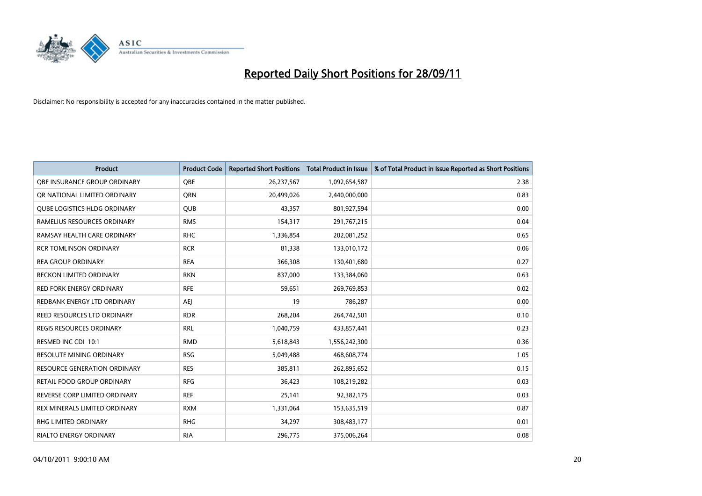

| <b>Product</b>                      | <b>Product Code</b> | <b>Reported Short Positions</b> | <b>Total Product in Issue</b> | % of Total Product in Issue Reported as Short Positions |
|-------------------------------------|---------------------|---------------------------------|-------------------------------|---------------------------------------------------------|
| OBE INSURANCE GROUP ORDINARY        | <b>OBE</b>          | 26,237,567                      | 1,092,654,587                 | 2.38                                                    |
| OR NATIONAL LIMITED ORDINARY        | <b>ORN</b>          | 20,499,026                      | 2,440,000,000                 | 0.83                                                    |
| <b>QUBE LOGISTICS HLDG ORDINARY</b> | QUB                 | 43,357                          | 801,927,594                   | 0.00                                                    |
| RAMELIUS RESOURCES ORDINARY         | <b>RMS</b>          | 154,317                         | 291,767,215                   | 0.04                                                    |
| RAMSAY HEALTH CARE ORDINARY         | <b>RHC</b>          | 1,336,854                       | 202,081,252                   | 0.65                                                    |
| <b>RCR TOMLINSON ORDINARY</b>       | <b>RCR</b>          | 81,338                          | 133,010,172                   | 0.06                                                    |
| <b>REA GROUP ORDINARY</b>           | <b>REA</b>          | 366,308                         | 130,401,680                   | 0.27                                                    |
| RECKON LIMITED ORDINARY             | <b>RKN</b>          | 837,000                         | 133,384,060                   | 0.63                                                    |
| RED FORK ENERGY ORDINARY            | <b>RFE</b>          | 59,651                          | 269,769,853                   | 0.02                                                    |
| REDBANK ENERGY LTD ORDINARY         | AEJ                 | 19                              | 786,287                       | 0.00                                                    |
| REED RESOURCES LTD ORDINARY         | <b>RDR</b>          | 268,204                         | 264,742,501                   | 0.10                                                    |
| <b>REGIS RESOURCES ORDINARY</b>     | <b>RRL</b>          | 1,040,759                       | 433,857,441                   | 0.23                                                    |
| RESMED INC CDI 10:1                 | <b>RMD</b>          | 5,618,843                       | 1,556,242,300                 | 0.36                                                    |
| <b>RESOLUTE MINING ORDINARY</b>     | <b>RSG</b>          | 5,049,488                       | 468,608,774                   | 1.05                                                    |
| <b>RESOURCE GENERATION ORDINARY</b> | <b>RES</b>          | 385,811                         | 262,895,652                   | 0.15                                                    |
| RETAIL FOOD GROUP ORDINARY          | <b>RFG</b>          | 36,423                          | 108,219,282                   | 0.03                                                    |
| REVERSE CORP LIMITED ORDINARY       | <b>REF</b>          | 25,141                          | 92,382,175                    | 0.03                                                    |
| REX MINERALS LIMITED ORDINARY       | <b>RXM</b>          | 1,331,064                       | 153,635,519                   | 0.87                                                    |
| <b>RHG LIMITED ORDINARY</b>         | <b>RHG</b>          | 34,297                          | 308,483,177                   | 0.01                                                    |
| <b>RIALTO ENERGY ORDINARY</b>       | <b>RIA</b>          | 296,775                         | 375,006,264                   | 0.08                                                    |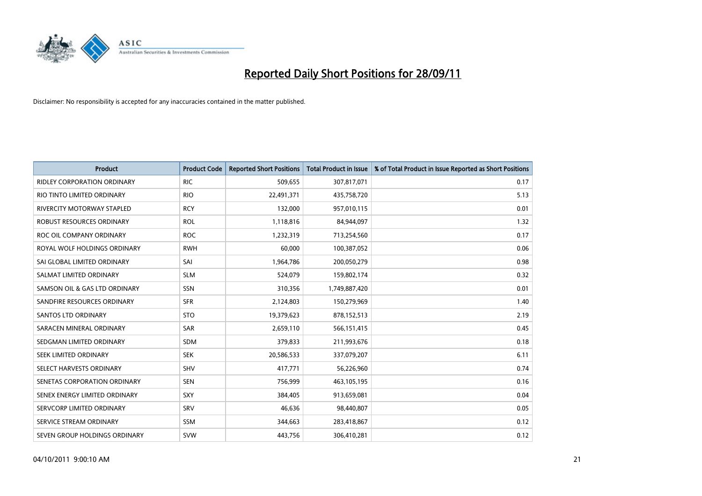

| <b>Product</b>                     | <b>Product Code</b> | <b>Reported Short Positions</b> | <b>Total Product in Issue</b> | % of Total Product in Issue Reported as Short Positions |
|------------------------------------|---------------------|---------------------------------|-------------------------------|---------------------------------------------------------|
| <b>RIDLEY CORPORATION ORDINARY</b> | <b>RIC</b>          | 509,655                         | 307,817,071                   | 0.17                                                    |
| RIO TINTO LIMITED ORDINARY         | <b>RIO</b>          | 22,491,371                      | 435,758,720                   | 5.13                                                    |
| <b>RIVERCITY MOTORWAY STAPLED</b>  | <b>RCY</b>          | 132,000                         | 957,010,115                   | 0.01                                                    |
| ROBUST RESOURCES ORDINARY          | <b>ROL</b>          | 1,118,816                       | 84,944,097                    | 1.32                                                    |
| ROC OIL COMPANY ORDINARY           | <b>ROC</b>          | 1,232,319                       | 713,254,560                   | 0.17                                                    |
| ROYAL WOLF HOLDINGS ORDINARY       | <b>RWH</b>          | 60,000                          | 100,387,052                   | 0.06                                                    |
| SAI GLOBAL LIMITED ORDINARY        | SAI                 | 1,964,786                       | 200,050,279                   | 0.98                                                    |
| SALMAT LIMITED ORDINARY            | <b>SLM</b>          | 524,079                         | 159,802,174                   | 0.32                                                    |
| SAMSON OIL & GAS LTD ORDINARY      | SSN                 | 310,356                         | 1,749,887,420                 | 0.01                                                    |
| SANDFIRE RESOURCES ORDINARY        | <b>SFR</b>          | 2,124,803                       | 150,279,969                   | 1.40                                                    |
| <b>SANTOS LTD ORDINARY</b>         | <b>STO</b>          | 19,379,623                      | 878,152,513                   | 2.19                                                    |
| SARACEN MINERAL ORDINARY           | SAR                 | 2,659,110                       | 566,151,415                   | 0.45                                                    |
| SEDGMAN LIMITED ORDINARY           | <b>SDM</b>          | 379,833                         | 211,993,676                   | 0.18                                                    |
| SEEK LIMITED ORDINARY              | <b>SEK</b>          | 20,586,533                      | 337,079,207                   | 6.11                                                    |
| SELECT HARVESTS ORDINARY           | SHV                 | 417,771                         | 56,226,960                    | 0.74                                                    |
| SENETAS CORPORATION ORDINARY       | <b>SEN</b>          | 756,999                         | 463,105,195                   | 0.16                                                    |
| SENEX ENERGY LIMITED ORDINARY      | SXY                 | 384,405                         | 913,659,081                   | 0.04                                                    |
| SERVCORP LIMITED ORDINARY          | SRV                 | 46,636                          | 98,440,807                    | 0.05                                                    |
| SERVICE STREAM ORDINARY            | <b>SSM</b>          | 344,663                         | 283,418,867                   | 0.12                                                    |
| SEVEN GROUP HOLDINGS ORDINARY      | <b>SVW</b>          | 443.756                         | 306,410,281                   | 0.12                                                    |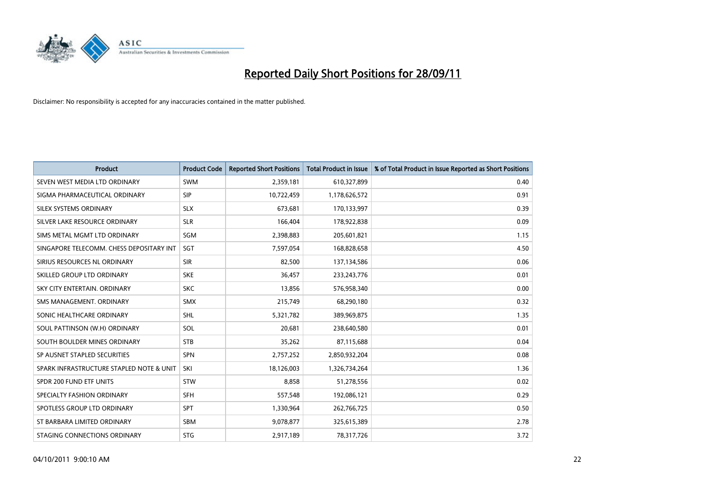

| <b>Product</b>                           | <b>Product Code</b> | <b>Reported Short Positions</b> | <b>Total Product in Issue</b> | % of Total Product in Issue Reported as Short Positions |
|------------------------------------------|---------------------|---------------------------------|-------------------------------|---------------------------------------------------------|
| SEVEN WEST MEDIA LTD ORDINARY            | <b>SWM</b>          | 2,359,181                       | 610,327,899                   | 0.40                                                    |
| SIGMA PHARMACEUTICAL ORDINARY            | <b>SIP</b>          | 10,722,459                      | 1,178,626,572                 | 0.91                                                    |
| <b>SILEX SYSTEMS ORDINARY</b>            | <b>SLX</b>          | 673,681                         | 170,133,997                   | 0.39                                                    |
| SILVER LAKE RESOURCE ORDINARY            | <b>SLR</b>          | 166,404                         | 178,922,838                   | 0.09                                                    |
| SIMS METAL MGMT LTD ORDINARY             | SGM                 | 2,398,883                       | 205,601,821                   | 1.15                                                    |
| SINGAPORE TELECOMM. CHESS DEPOSITARY INT | SGT                 | 7,597,054                       | 168,828,658                   | 4.50                                                    |
| SIRIUS RESOURCES NL ORDINARY             | <b>SIR</b>          | 82,500                          | 137,134,586                   | 0.06                                                    |
| SKILLED GROUP LTD ORDINARY               | <b>SKE</b>          | 36,457                          | 233, 243, 776                 | 0.01                                                    |
| SKY CITY ENTERTAIN, ORDINARY             | <b>SKC</b>          | 13,856                          | 576,958,340                   | 0.00                                                    |
| SMS MANAGEMENT, ORDINARY                 | <b>SMX</b>          | 215,749                         | 68,290,180                    | 0.32                                                    |
| SONIC HEALTHCARE ORDINARY                | <b>SHL</b>          | 5,321,782                       | 389,969,875                   | 1.35                                                    |
| SOUL PATTINSON (W.H) ORDINARY            | SOL                 | 20,681                          | 238,640,580                   | 0.01                                                    |
| SOUTH BOULDER MINES ORDINARY             | <b>STB</b>          | 35,262                          | 87,115,688                    | 0.04                                                    |
| SP AUSNET STAPLED SECURITIES             | <b>SPN</b>          | 2,757,252                       | 2,850,932,204                 | 0.08                                                    |
| SPARK INFRASTRUCTURE STAPLED NOTE & UNIT | SKI                 | 18,126,003                      | 1,326,734,264                 | 1.36                                                    |
| SPDR 200 FUND ETF UNITS                  | <b>STW</b>          | 8,858                           | 51,278,556                    | 0.02                                                    |
| SPECIALTY FASHION ORDINARY               | <b>SFH</b>          | 557,548                         | 192,086,121                   | 0.29                                                    |
| SPOTLESS GROUP LTD ORDINARY              | <b>SPT</b>          | 1,330,964                       | 262,766,725                   | 0.50                                                    |
| ST BARBARA LIMITED ORDINARY              | <b>SBM</b>          | 9,078,877                       | 325,615,389                   | 2.78                                                    |
| STAGING CONNECTIONS ORDINARY             | <b>STG</b>          | 2,917,189                       | 78,317,726                    | 3.72                                                    |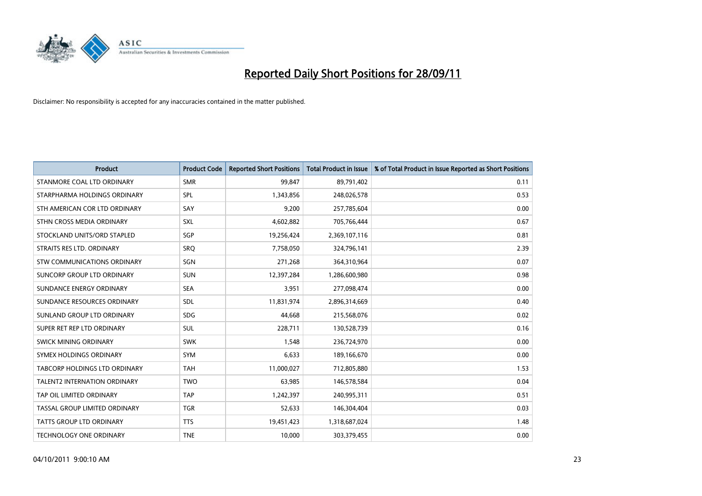

| <b>Product</b>                  | <b>Product Code</b> | <b>Reported Short Positions</b> | <b>Total Product in Issue</b> | % of Total Product in Issue Reported as Short Positions |
|---------------------------------|---------------------|---------------------------------|-------------------------------|---------------------------------------------------------|
| STANMORE COAL LTD ORDINARY      | <b>SMR</b>          | 99,847                          | 89,791,402                    | 0.11                                                    |
| STARPHARMA HOLDINGS ORDINARY    | <b>SPL</b>          | 1,343,856                       | 248,026,578                   | 0.53                                                    |
| STH AMERICAN COR LTD ORDINARY   | SAY                 | 9,200                           | 257,785,604                   | 0.00                                                    |
| STHN CROSS MEDIA ORDINARY       | <b>SXL</b>          | 4,602,882                       | 705,766,444                   | 0.67                                                    |
| STOCKLAND UNITS/ORD STAPLED     | <b>SGP</b>          | 19,256,424                      | 2,369,107,116                 | 0.81                                                    |
| STRAITS RES LTD. ORDINARY       | SRO                 | 7,758,050                       | 324,796,141                   | 2.39                                                    |
| STW COMMUNICATIONS ORDINARY     | SGN                 | 271,268                         | 364,310,964                   | 0.07                                                    |
| SUNCORP GROUP LTD ORDINARY      | <b>SUN</b>          | 12,397,284                      | 1,286,600,980                 | 0.98                                                    |
| SUNDANCE ENERGY ORDINARY        | <b>SEA</b>          | 3,951                           | 277,098,474                   | 0.00                                                    |
| SUNDANCE RESOURCES ORDINARY     | <b>SDL</b>          | 11,831,974                      | 2,896,314,669                 | 0.40                                                    |
| SUNLAND GROUP LTD ORDINARY      | <b>SDG</b>          | 44,668                          | 215,568,076                   | 0.02                                                    |
| SUPER RET REP LTD ORDINARY      | <b>SUL</b>          | 228,711                         | 130,528,739                   | 0.16                                                    |
| SWICK MINING ORDINARY           | <b>SWK</b>          | 1,548                           | 236,724,970                   | 0.00                                                    |
| SYMEX HOLDINGS ORDINARY         | <b>SYM</b>          | 6,633                           | 189,166,670                   | 0.00                                                    |
| TABCORP HOLDINGS LTD ORDINARY   | <b>TAH</b>          | 11,000,027                      | 712,805,880                   | 1.53                                                    |
| TALENT2 INTERNATION ORDINARY    | <b>TWO</b>          | 63,985                          | 146,578,584                   | 0.04                                                    |
| TAP OIL LIMITED ORDINARY        | <b>TAP</b>          | 1,242,397                       | 240,995,311                   | 0.51                                                    |
| TASSAL GROUP LIMITED ORDINARY   | <b>TGR</b>          | 52,633                          | 146,304,404                   | 0.03                                                    |
| <b>TATTS GROUP LTD ORDINARY</b> | <b>TTS</b>          | 19,451,423                      | 1,318,687,024                 | 1.48                                                    |
| TECHNOLOGY ONE ORDINARY         | <b>TNE</b>          | 10,000                          | 303,379,455                   | 0.00                                                    |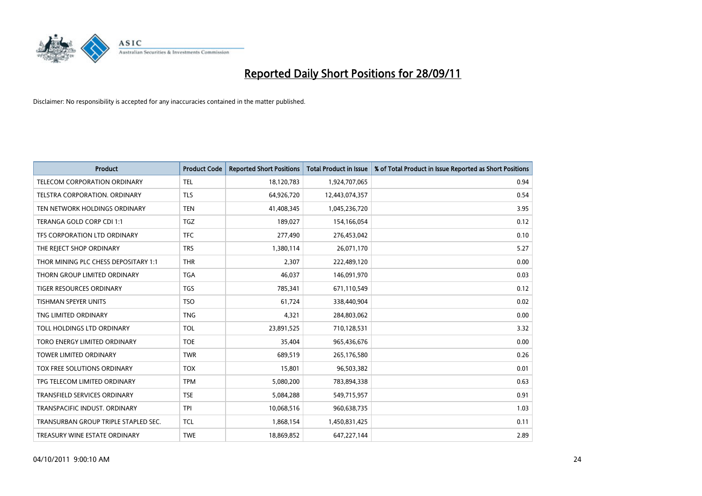

| <b>Product</b>                       | <b>Product Code</b> | <b>Reported Short Positions</b> | <b>Total Product in Issue</b> | % of Total Product in Issue Reported as Short Positions |
|--------------------------------------|---------------------|---------------------------------|-------------------------------|---------------------------------------------------------|
| <b>TELECOM CORPORATION ORDINARY</b>  | <b>TEL</b>          | 18,120,783                      | 1,924,707,065                 | 0.94                                                    |
| TELSTRA CORPORATION. ORDINARY        | <b>TLS</b>          | 64,926,720                      | 12,443,074,357                | 0.54                                                    |
| TEN NETWORK HOLDINGS ORDINARY        | <b>TEN</b>          | 41,408,345                      | 1,045,236,720                 | 3.95                                                    |
| TERANGA GOLD CORP CDI 1:1            | <b>TGZ</b>          | 189,027                         | 154,166,054                   | 0.12                                                    |
| TFS CORPORATION LTD ORDINARY         | <b>TFC</b>          | 277,490                         | 276,453,042                   | 0.10                                                    |
| THE REJECT SHOP ORDINARY             | <b>TRS</b>          | 1,380,114                       | 26,071,170                    | 5.27                                                    |
| THOR MINING PLC CHESS DEPOSITARY 1:1 | <b>THR</b>          | 2,307                           | 222,489,120                   | 0.00                                                    |
| THORN GROUP LIMITED ORDINARY         | <b>TGA</b>          | 46,037                          | 146,091,970                   | 0.03                                                    |
| <b>TIGER RESOURCES ORDINARY</b>      | <b>TGS</b>          | 785,341                         | 671,110,549                   | 0.12                                                    |
| <b>TISHMAN SPEYER UNITS</b>          | <b>TSO</b>          | 61,724                          | 338,440,904                   | 0.02                                                    |
| TNG LIMITED ORDINARY                 | <b>TNG</b>          | 4,321                           | 284,803,062                   | 0.00                                                    |
| TOLL HOLDINGS LTD ORDINARY           | <b>TOL</b>          | 23,891,525                      | 710,128,531                   | 3.32                                                    |
| TORO ENERGY LIMITED ORDINARY         | <b>TOE</b>          | 35,404                          | 965,436,676                   | 0.00                                                    |
| <b>TOWER LIMITED ORDINARY</b>        | <b>TWR</b>          | 689,519                         | 265,176,580                   | 0.26                                                    |
| TOX FREE SOLUTIONS ORDINARY          | <b>TOX</b>          | 15,801                          | 96,503,382                    | 0.01                                                    |
| TPG TELECOM LIMITED ORDINARY         | <b>TPM</b>          | 5,080,200                       | 783,894,338                   | 0.63                                                    |
| TRANSFIELD SERVICES ORDINARY         | <b>TSE</b>          | 5,084,288                       | 549,715,957                   | 0.91                                                    |
| TRANSPACIFIC INDUST. ORDINARY        | <b>TPI</b>          | 10,068,516                      | 960,638,735                   | 1.03                                                    |
| TRANSURBAN GROUP TRIPLE STAPLED SEC. | <b>TCL</b>          | 1,868,154                       | 1,450,831,425                 | 0.11                                                    |
| TREASURY WINE ESTATE ORDINARY        | <b>TWE</b>          | 18,869,852                      | 647,227,144                   | 2.89                                                    |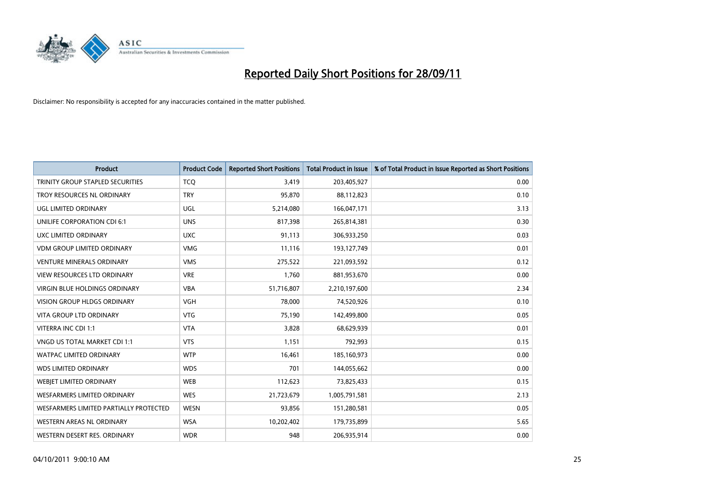

| <b>Product</b>                          | <b>Product Code</b> | <b>Reported Short Positions</b> | <b>Total Product in Issue</b> | % of Total Product in Issue Reported as Short Positions |
|-----------------------------------------|---------------------|---------------------------------|-------------------------------|---------------------------------------------------------|
| <b>TRINITY GROUP STAPLED SECURITIES</b> | <b>TCQ</b>          | 3,419                           | 203,405,927                   | 0.00                                                    |
| TROY RESOURCES NL ORDINARY              | <b>TRY</b>          | 95,870                          | 88,112,823                    | 0.10                                                    |
| <b>UGL LIMITED ORDINARY</b>             | UGL                 | 5,214,080                       | 166,047,171                   | 3.13                                                    |
| UNILIFE CORPORATION CDI 6:1             | <b>UNS</b>          | 817,398                         | 265,814,381                   | 0.30                                                    |
| UXC LIMITED ORDINARY                    | <b>UXC</b>          | 91,113                          | 306,933,250                   | 0.03                                                    |
| <b>VDM GROUP LIMITED ORDINARY</b>       | <b>VMG</b>          | 11,116                          | 193,127,749                   | 0.01                                                    |
| <b>VENTURE MINERALS ORDINARY</b>        | <b>VMS</b>          | 275,522                         | 221,093,592                   | 0.12                                                    |
| VIEW RESOURCES LTD ORDINARY             | <b>VRE</b>          | 1,760                           | 881,953,670                   | 0.00                                                    |
| <b>VIRGIN BLUE HOLDINGS ORDINARY</b>    | <b>VBA</b>          | 51,716,807                      | 2,210,197,600                 | 2.34                                                    |
| <b>VISION GROUP HLDGS ORDINARY</b>      | <b>VGH</b>          | 78,000                          | 74,520,926                    | 0.10                                                    |
| VITA GROUP LTD ORDINARY                 | <b>VTG</b>          | 75,190                          | 142,499,800                   | 0.05                                                    |
| VITERRA INC CDI 1:1                     | <b>VTA</b>          | 3,828                           | 68,629,939                    | 0.01                                                    |
| VNGD US TOTAL MARKET CDI 1:1            | <b>VTS</b>          | 1,151                           | 792,993                       | 0.15                                                    |
| <b>WATPAC LIMITED ORDINARY</b>          | <b>WTP</b>          | 16,461                          | 185,160,973                   | 0.00                                                    |
| <b>WDS LIMITED ORDINARY</b>             | <b>WDS</b>          | 701                             | 144,055,662                   | 0.00                                                    |
| WEBIET LIMITED ORDINARY                 | <b>WEB</b>          | 112,623                         | 73,825,433                    | 0.15                                                    |
| WESFARMERS LIMITED ORDINARY             | <b>WES</b>          | 21,723,679                      | 1,005,791,581                 | 2.13                                                    |
| WESFARMERS LIMITED PARTIALLY PROTECTED  | <b>WESN</b>         | 93,856                          | 151,280,581                   | 0.05                                                    |
| WESTERN AREAS NL ORDINARY               | <b>WSA</b>          | 10,202,402                      | 179,735,899                   | 5.65                                                    |
| WESTERN DESERT RES. ORDINARY            | <b>WDR</b>          | 948                             | 206,935,914                   | 0.00                                                    |